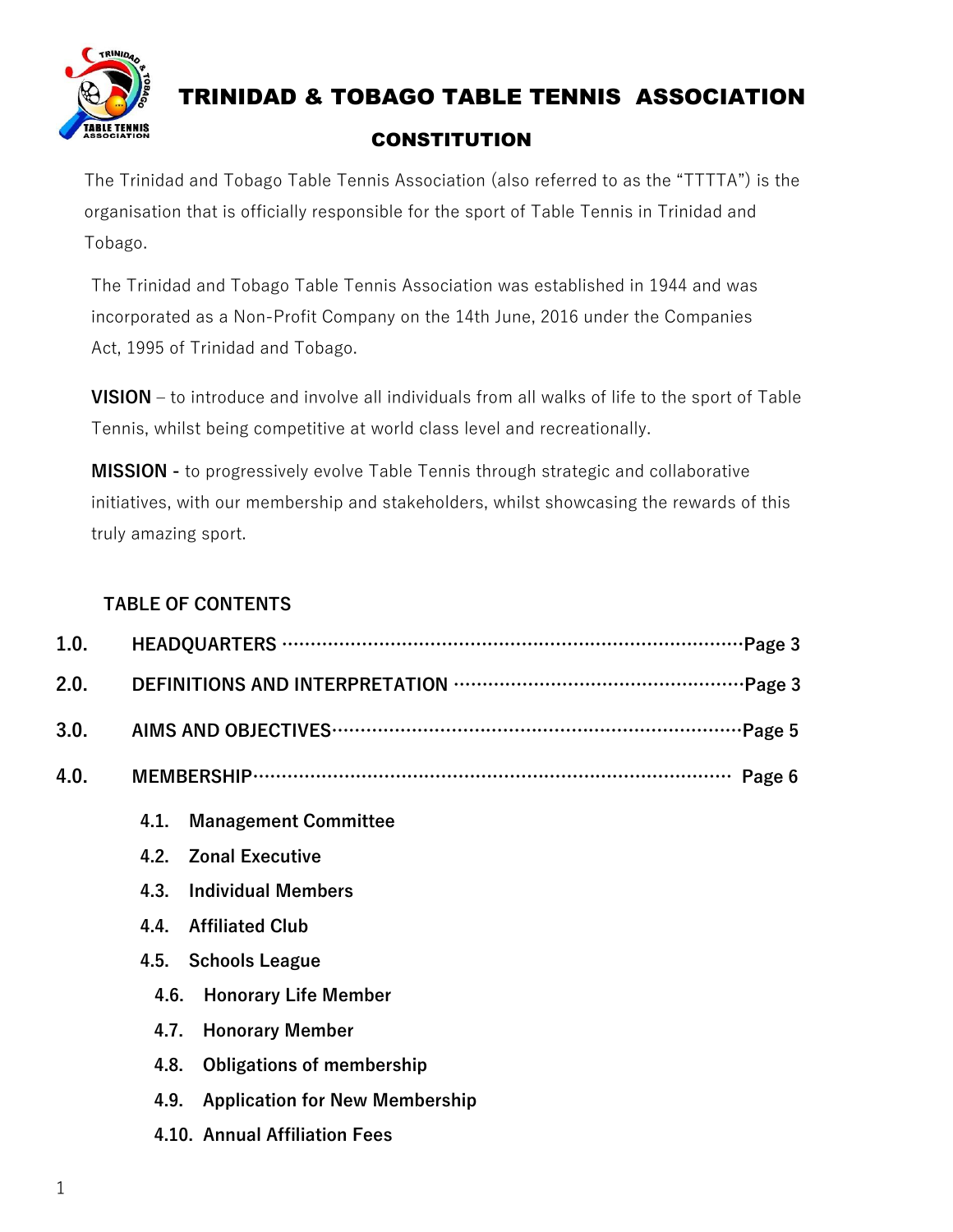

The Trinidad and Tobago Table Tennis Association (also referred to as the "TTTTA") is the organisation that is officially responsible for the sport of Table Tennis in Trinidad and Tobago.

The Trinidad and Tobago Table Tennis Association was established in 1944 and was incorporated as a Non-Profit Company on the 14th June, 2016 under the Companies Act, 1995 of Trinidad and Tobago.

**VISION –** to introduce and involve all individuals from all walks of life to the sport of Table Tennis, whilst being competitive at world class level and recreationally.

**MISSION -** to progressively evolve Table Tennis through strategic and collaborative initiatives, with our membership and stakeholders, whilst showcasing the rewards of this truly amazing sport.

#### **TABLE OF CONTENTS**

| 1.0. |                                               |
|------|-----------------------------------------------|
| 2.0. |                                               |
| 3.0. |                                               |
| 4.0. |                                               |
|      | <b>Management Committee</b><br>4.1.           |
|      | <b>Zonal Executive</b><br>4.2.                |
|      | <b>Individual Members</b><br>4.3.             |
|      | <b>Affiliated Club</b><br>4.4.                |
|      | 4.5. Schools League                           |
|      | 4.6.<br><b>Honorary Life Member</b>           |
|      | <b>Honorary Member</b><br>4.7.                |
|      | <b>Obligations of membership</b><br>4.8.      |
|      | <b>Application for New Membership</b><br>4.9. |
|      | 4.10. Annual Affiliation Fees                 |
|      |                                               |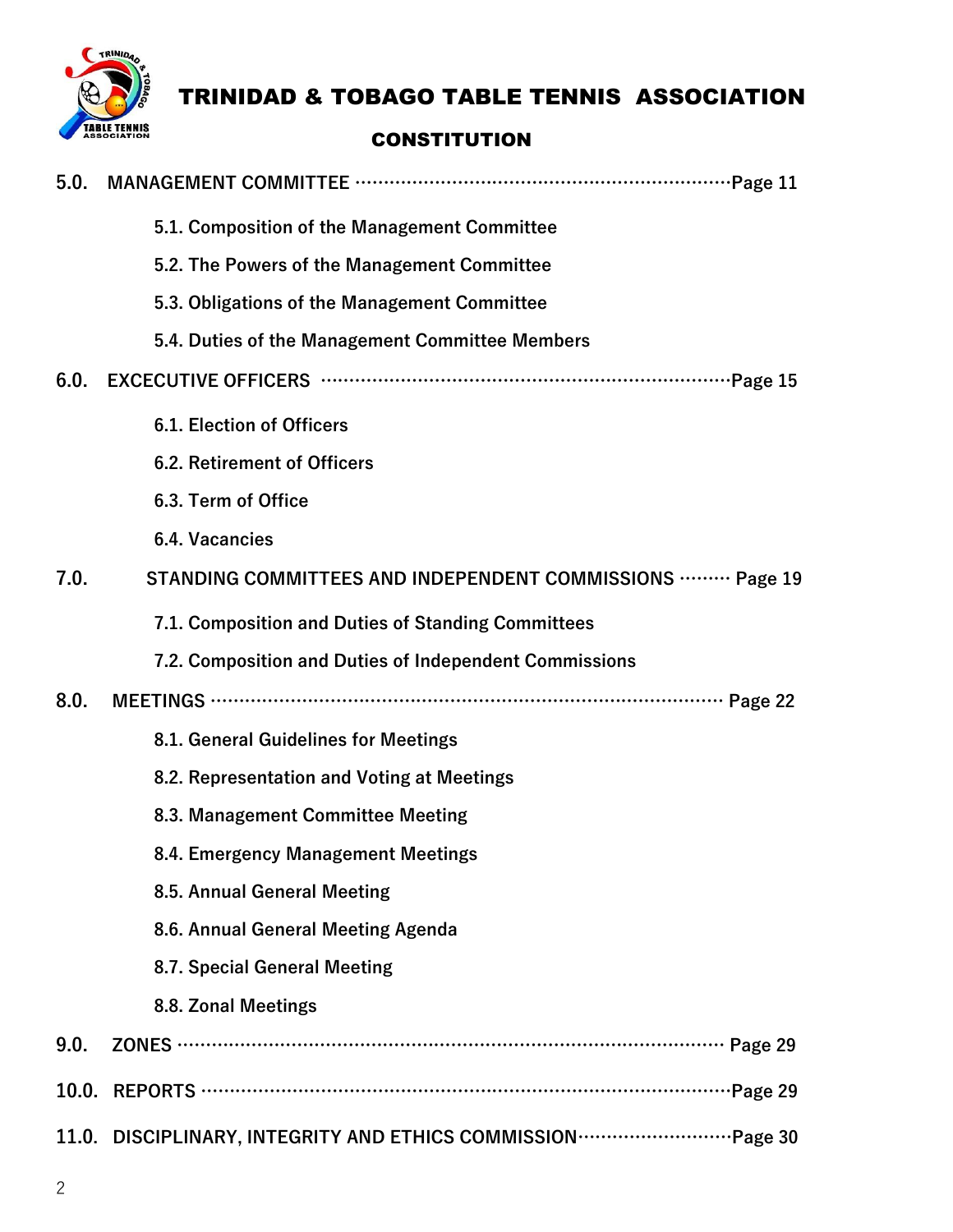

### TRINIDAD & TOBAGO TABLE TENNIS ASSOCIATION

#### **CONSTITUTION**

| 5.0. |                                                                                             |
|------|---------------------------------------------------------------------------------------------|
|      | 5.1. Composition of the Management Committee                                                |
|      | 5.2. The Powers of the Management Committee                                                 |
|      | 5.3. Obligations of the Management Committee                                                |
|      | 5.4. Duties of the Management Committee Members                                             |
| 6.0. |                                                                                             |
|      | <b>6.1. Election of Officers</b>                                                            |
|      | 6.2. Retirement of Officers                                                                 |
|      | 6.3. Term of Office                                                                         |
|      | 6.4. Vacancies                                                                              |
| 7.0. | STANDING COMMITTEES AND INDEPENDENT COMMISSIONS  Page 19                                    |
|      | 7.1. Composition and Duties of Standing Committees                                          |
|      | 7.2. Composition and Duties of Independent Commissions                                      |
| 8.0. |                                                                                             |
|      | 8.1. General Guidelines for Meetings                                                        |
|      | 8.2. Representation and Voting at Meetings                                                  |
|      | 8.3. Management Committee Meeting                                                           |
|      | 8.4. Emergency Management Meetings                                                          |
|      | 8.5. Annual General Meeting                                                                 |
|      | 8.6. Annual General Meeting Agenda                                                          |
|      | 8.7. Special General Meeting                                                                |
|      | 8.8. Zonal Meetings                                                                         |
| 9.0. | ZONES …………………………………………………………………………………… Page 29                                              |
|      |                                                                                             |
|      | 11.0. DISCIPLINARY, INTEGRITY AND ETHICS COMMISSION ································Page 30 |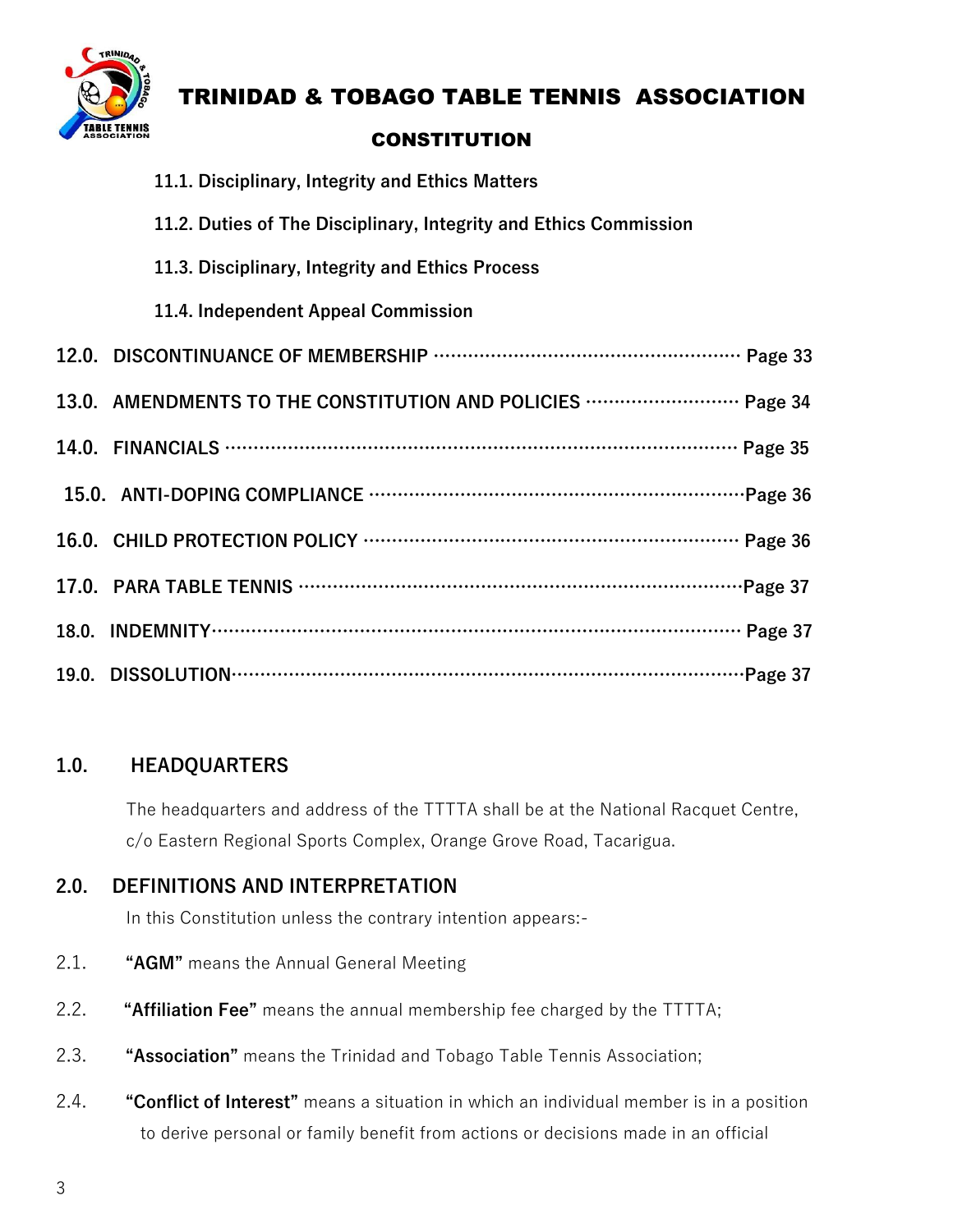

### TRINIDAD & TOBAGO TABLE TENNIS ASSOCIATION

#### **CONSTITUTION**

| 11.1. Disciplinary, Integrity and Ethics Matters                    |
|---------------------------------------------------------------------|
| 11.2. Duties of The Disciplinary, Integrity and Ethics Commission   |
| 11.3. Disciplinary, Integrity and Ethics Process                    |
| 11.4. Independent Appeal Commission                                 |
|                                                                     |
| 13.0. AMENDMENTS TO THE CONSTITUTION AND POLICIES ……………………… Page 34 |
|                                                                     |
|                                                                     |
|                                                                     |
|                                                                     |
|                                                                     |
|                                                                     |

#### **1.0. HEADQUARTERS**

The headquarters and address of the TTTTA shall be at the National Racquet Centre, c/o Eastern Regional Sports Complex, Orange Grove Road, Tacarigua.

#### **2.0. DEFINITIONS AND INTERPRETATION**

In this Constitution unless the contrary intention appears:-

- 2.1. **"AGM"** means the Annual General Meeting
- 2.2. **"Affiliation Fee"** means the annual membership fee charged by the TTTTA;
- 2.3. **"Association"** means the Trinidad and Tobago Table Tennis Association;
- 2.4. **"Conflict of Interest"** means a situation in which an individual member is in a position to derive personal or family benefit from actions or decisions made in an official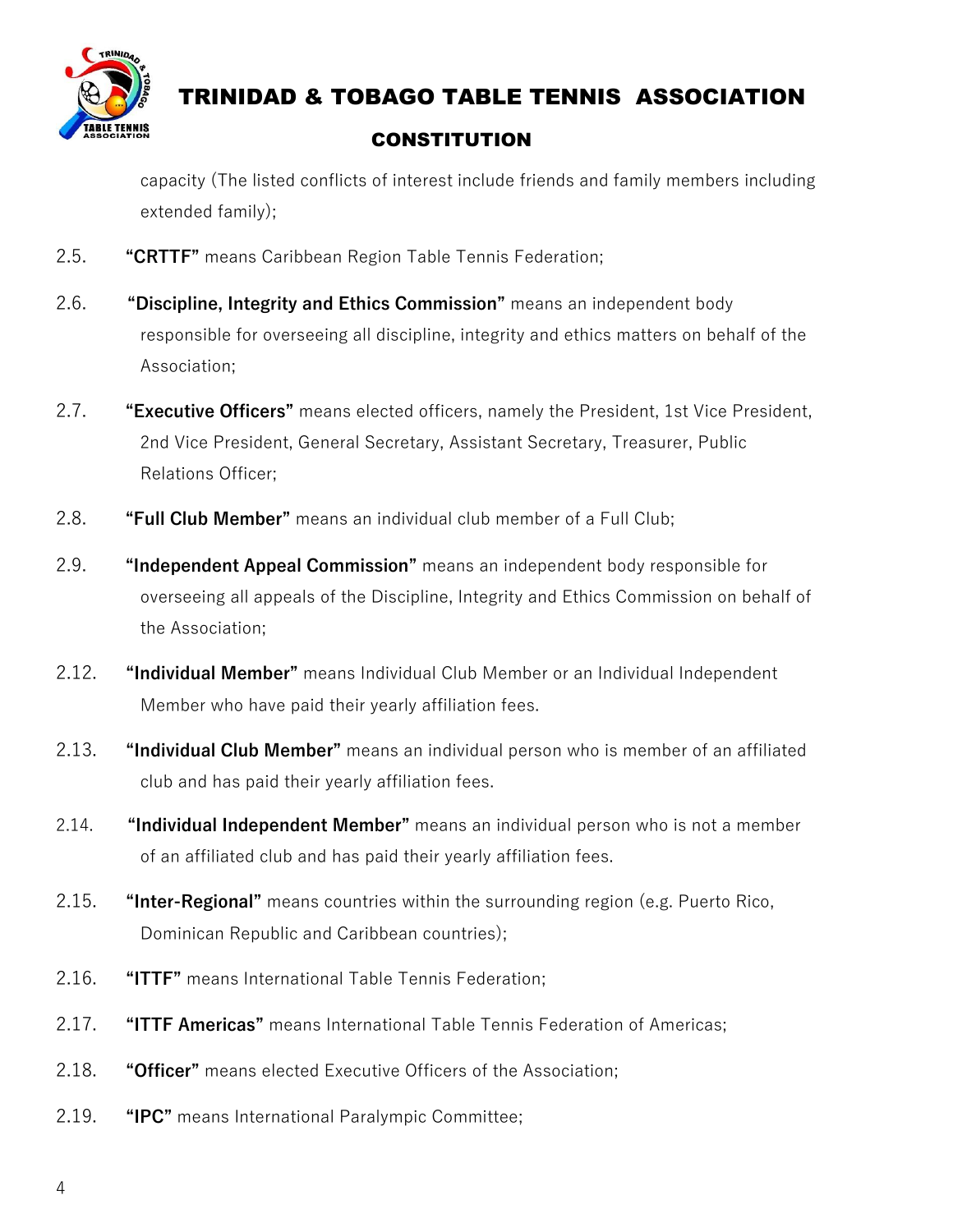

capacity (The listed conflicts of interest include friends and family members including extended family);

- 2.5. **"CRTTF"** means Caribbean Region Table Tennis Federation;
- 2.6. **"Discipline, Integrity and Ethics Commission"** means an independent body responsible for overseeing all discipline, integrity and ethics matters on behalf of the Association;
- 2.7. **"Executive Officers"** means elected officers, namely the President, 1st Vice President, 2nd Vice President, General Secretary, Assistant Secretary, Treasurer, Public Relations Officer;
- 2.8. **"Full Club Member"** means an individual club member of a Full Club;
- 2.9. **"Independent Appeal Commission"** means an independent body responsible for overseeing all appeals of the Discipline, Integrity and Ethics Commission on behalf of the Association;
- 2.12. **"Individual Member"** means Individual Club Member or an Individual Independent Member who have paid their yearly affiliation fees.
- 2.13. **"Individual Club Member"** means an individual person who is member of an affiliated club and has paid their yearly affiliation fees.
- 2.14. **"Individual Independent Member"** means an individual person who is not a member of an affiliated club and has paid their yearly affiliation fees.
- 2.15. **"Inter-Regional"** means countries within the surrounding region (e.g. Puerto Rico, Dominican Republic and Caribbean countries);
- 2.16. **"ITTF"** means International Table Tennis Federation;
- 2.17. **"ITTF Americas"** means International Table Tennis Federation of Americas;
- 2.18. **"Officer"** means elected Executive Officers of the Association;
- 2.19. **"IPC"** means International Paralympic Committee;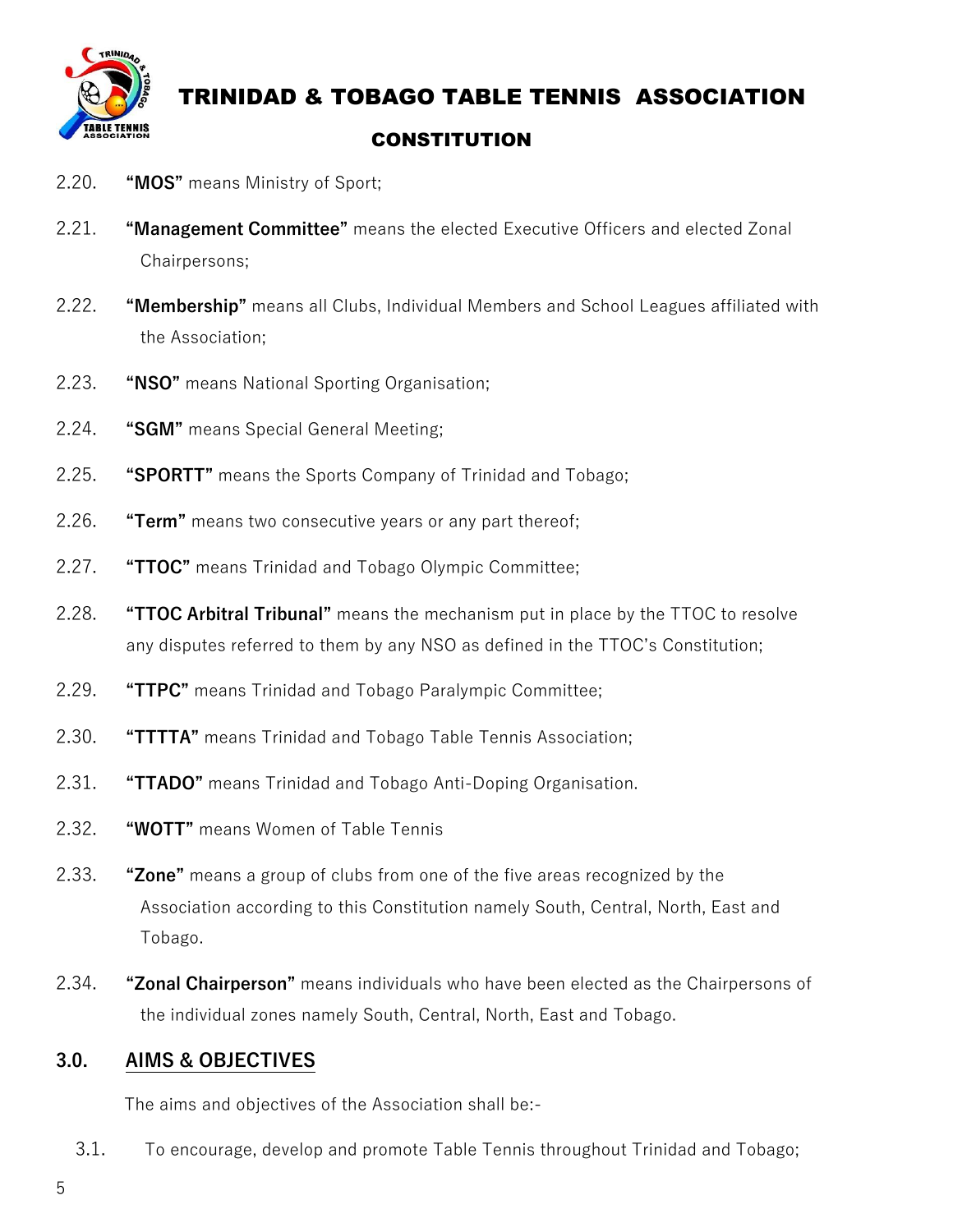

### TRINIDAD & TOBAGO TABLE TENNIS ASSOCIATION

#### **CONSTITUTION**

- 2.20. **"MOS"** means Ministry of Sport;
- 2.21. **"Management Committee"** means the elected Executive Officers and elected Zonal Chairpersons;
- 2.22. **"Membership"** means all Clubs, Individual Members and School Leagues affiliated with the Association;
- 2.23. **"NSO"** means National Sporting Organisation;
- 2.24. **"SGM"** means Special General Meeting;
- 2.25. **"SPORTT"** means the Sports Company of Trinidad and Tobago;
- 2.26. **"Term"** means two consecutive years or any part thereof;
- 2.27. **"TTOC"** means Trinidad and Tobago Olympic Committee;
- 2.28. **"TTOC Arbitral Tribunal"** means the mechanism put in place by the TTOC to resolve any disputes referred to them by any NSO as defined in the TTOC's Constitution;
- 2.29. **"TTPC"** means Trinidad and Tobago Paralympic Committee;
- 2.30. **"TTTTA"** means Trinidad and Tobago Table Tennis Association;
- 2.31. **"TTADO"** means Trinidad and Tobago Anti-Doping Organisation.
- 2.32. **"WOTT"** means Women of Table Tennis
- 2.33. **"Zone"** means a group of clubs from one of the five areas recognized by the Association according to this Constitution namely South, Central, North, East and Tobago.
- 2.34. **"Zonal Chairperson"** means individuals who have been elected as the Chairpersons of the individual zones namely South, Central, North, East and Tobago.

#### **3.0. AIMS & OBJECTIVES**

The aims and objectives of the Association shall be:-

3.1. To encourage, develop and promote Table Tennis throughout Trinidad and Tobago;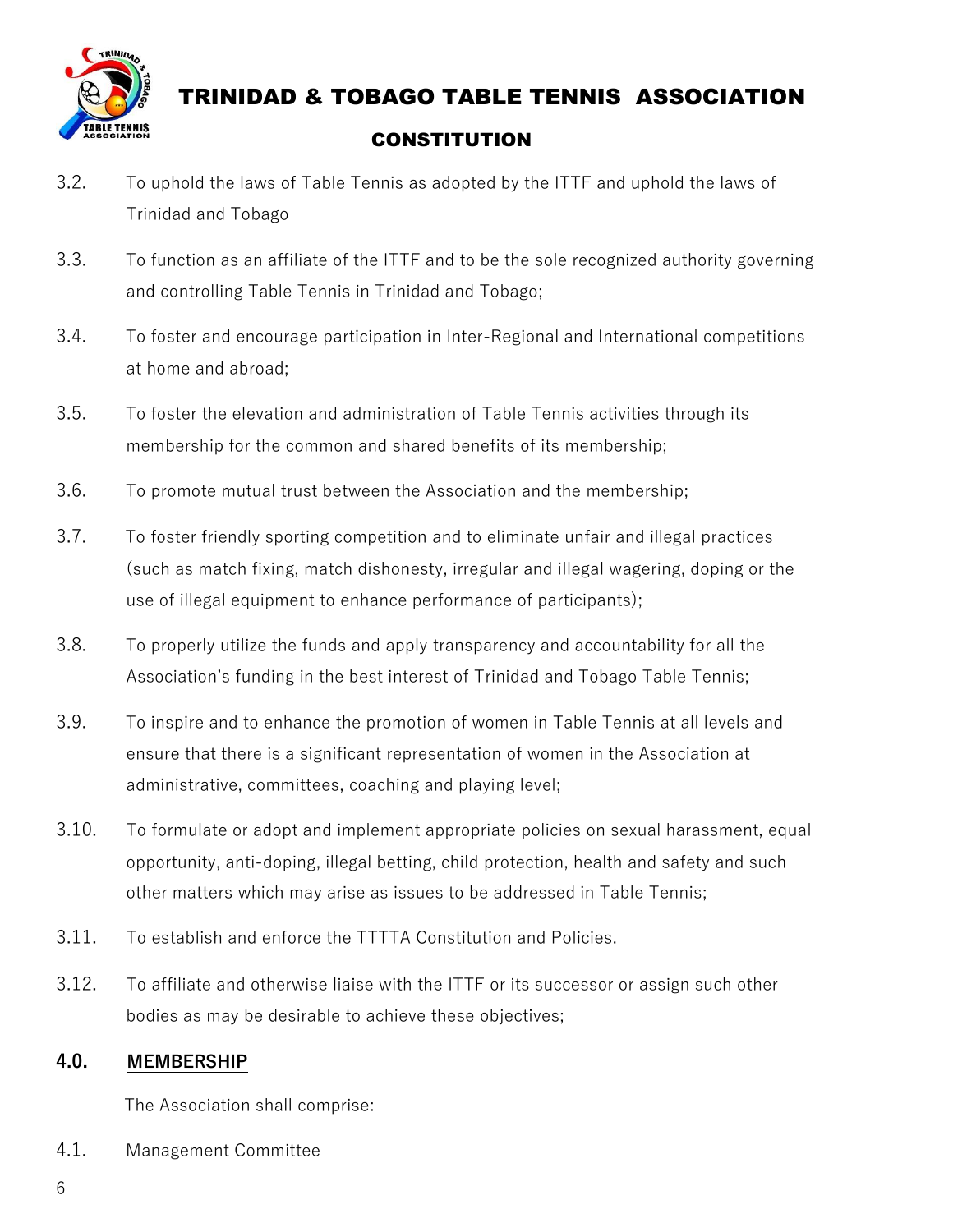

- 3.2. To uphold the laws of Table Tennis as adopted by the ITTF and uphold the laws of Trinidad and Tobago
- 3.3. To function as an affiliate of the ITTF and to be the sole recognized authority governing and controlling Table Tennis in Trinidad and Tobago;
- 3.4. To foster and encourage participation in Inter-Regional and International competitions at home and abroad;
- 3.5. To foster the elevation and administration of Table Tennis activities through its membership for the common and shared benefits of its membership;
- 3.6. To promote mutual trust between the Association and the membership;
- 3.7. To foster friendly sporting competition and to eliminate unfair and illegal practices (such as match fixing, match dishonesty, irregular and illegal wagering, doping or the use of illegal equipment to enhance performance of participants);
- 3.8. To properly utilize the funds and apply transparency and accountability for all the Association's funding in the best interest of Trinidad and Tobago Table Tennis;
- 3.9. To inspire and to enhance the promotion of women in Table Tennis at all levels and ensure that there is a significant representation of women in the Association at administrative, committees, coaching and playing level;
- 3.10. To formulate or adopt and implement appropriate policies on sexual harassment, equal opportunity, anti-doping, illegal betting, child protection, health and safety and such other matters which may arise as issues to be addressed in Table Tennis;
- 3.11. To establish and enforce the TTTTA Constitution and Policies.
- 3.12. To affiliate and otherwise liaise with the ITTF or its successor or assign such other bodies as may be desirable to achieve these objectives;

#### **4.0. MEMBERSHIP**

The Association shall comprise:

4.1. Management Committee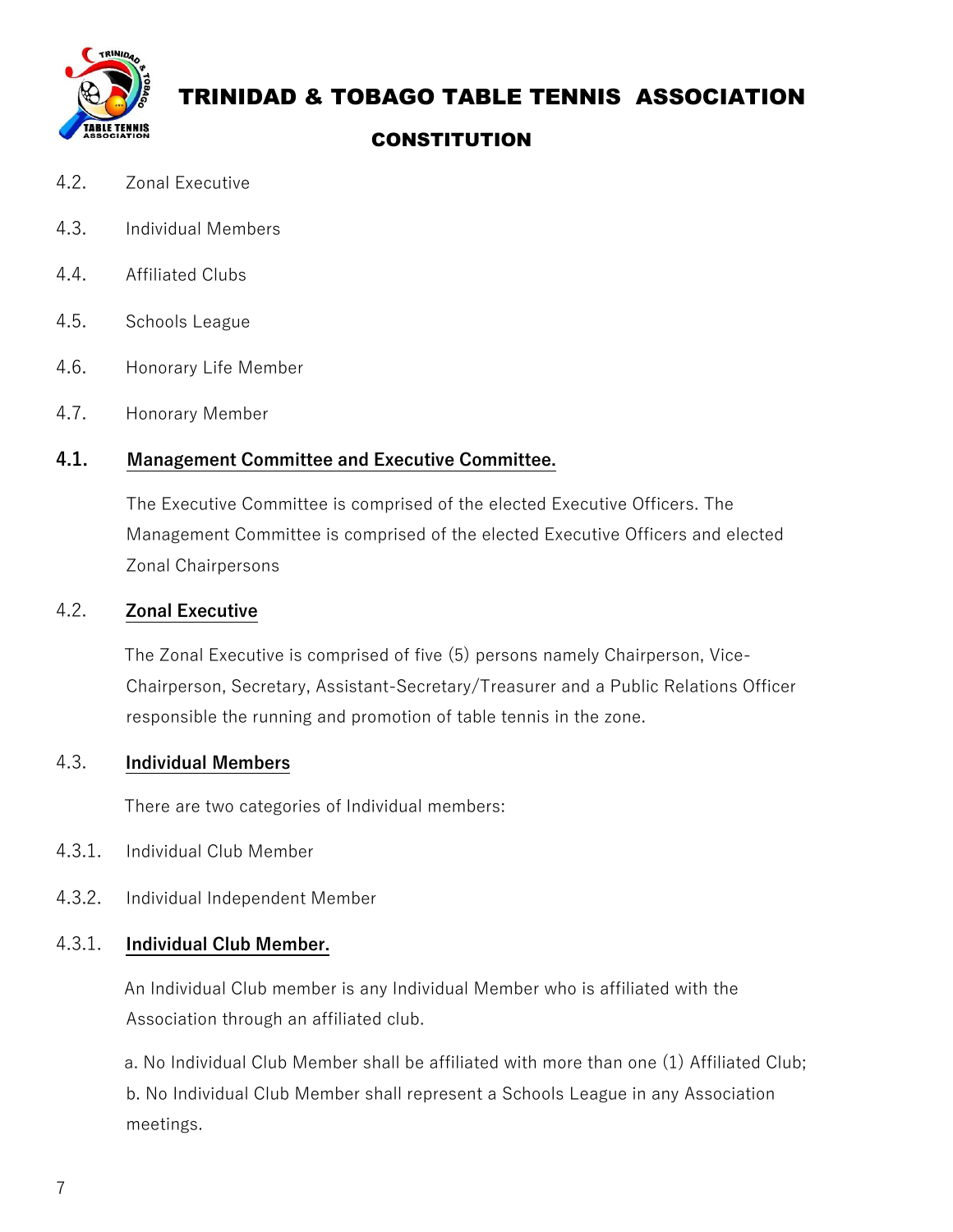

### TRINIDAD & TOBAGO TABLE TENNIS ASSOCIATION

#### **CONSTITUTION**

- 4.2. Zonal Executive
- 4.3. Individual Members
- 4.4. Affiliated Clubs
- 4.5. Schools League
- 4.6. Honorary Life Member
- 4.7. Honorary Member

#### **4.1. Management Committee and Executive Committee.**

The Executive Committee is comprised of the elected Executive Officers. The Management Committee is comprised of the elected Executive Officers and elected Zonal Chairpersons

#### 4.2. **Zonal Executive**

 The Zonal Executive is comprised of five (5) persons namely Chairperson, Vice-Chairperson, Secretary, Assistant-Secretary/Treasurer and a Public Relations Officer responsible the running and promotion of table tennis in the zone.

#### 4.3. **Individual Members**

There are two categories of Individual members:

- 4.3.1. Individual Club Member
- 4.3.2. Individual Independent Member

#### 4.3.1. **Individual Club Member.**

 An Individual Club member is any Individual Member who is affiliated with the Association through an affiliated club.

 a. No Individual Club Member shall be affiliated with more than one (1) Affiliated Club; b. No Individual Club Member shall represent a Schools League in any Association meetings.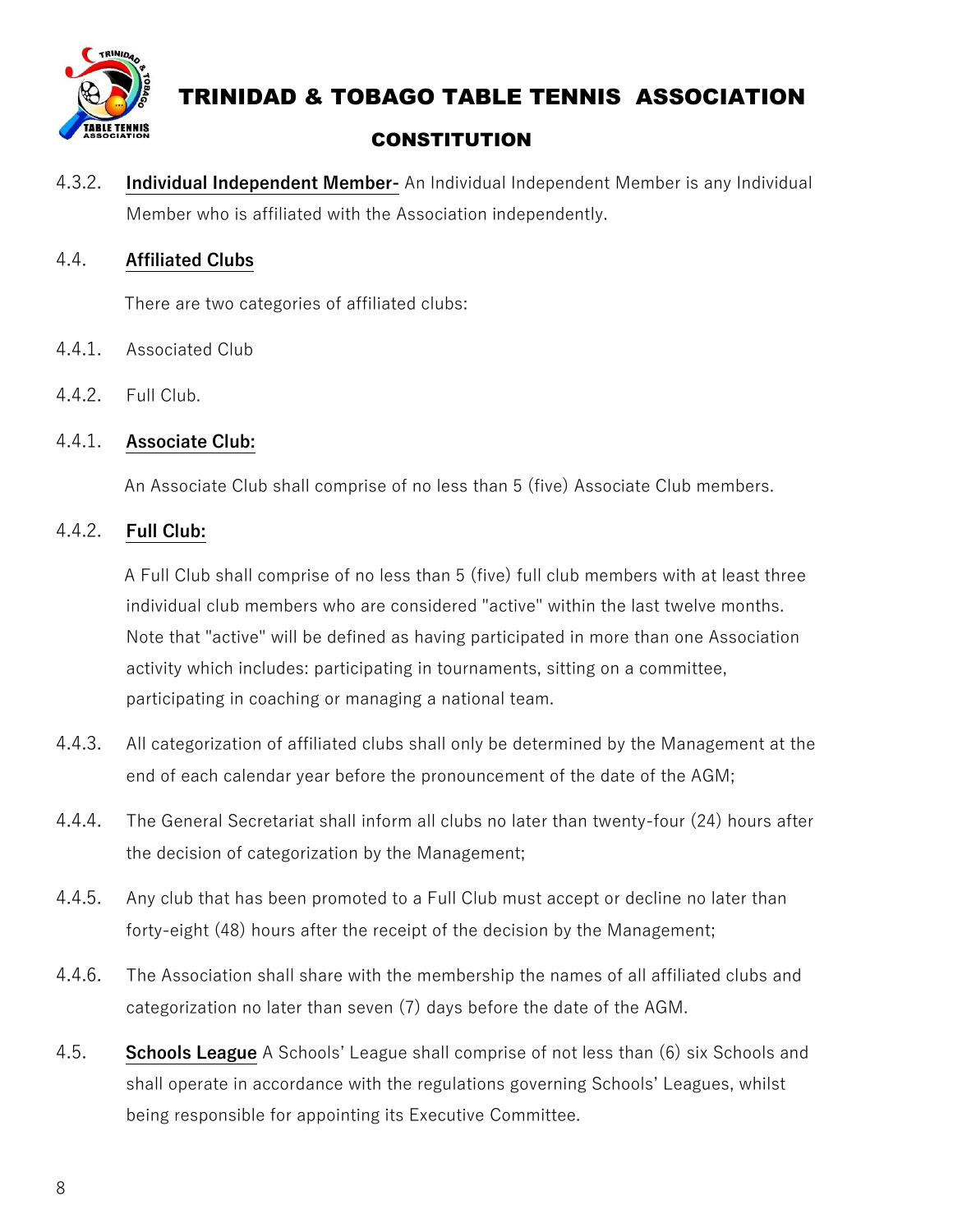

4.3.2. **Individual Independent Member-** An Individual Independent Member is any Individual Member who is affiliated with the Association independently.

#### 4.4. **Affiliated Clubs**

There are two categories of affiliated clubs:

- 4.4.1. Associated Club
- 4.4.2. Full Club.

#### 4.4.1. **Associate Club:**

An Associate Club shall comprise of no less than 5 (five) Associate Club members.

#### 4.4.2. **Full Club:**

 A Full Club shall comprise of no less than 5 (five) full club members with at least three individual club members who are considered "active" within the last twelve months. Note that "active" will be defined as having participated in more than one Association activity which includes: participating in tournaments, sitting on a committee, participating in coaching or managing a national team.

- 4.4.3. All categorization of affiliated clubs shall only be determined by the Management at the end of each calendar year before the pronouncement of the date of the AGM;
- 4.4.4. The General Secretariat shall inform all clubs no later than twenty-four (24) hours after the decision of categorization by the Management;
- 4.4.5. Any club that has been promoted to a Full Club must accept or decline no later than forty-eight (48) hours after the receipt of the decision by the Management;
- 4.4.6. The Association shall share with the membership the names of all affiliated clubs and categorization no later than seven (7) days before the date of the AGM.
- 4.5. **Schools League** A Schools' League shall comprise of not less than (6) six Schools and shall operate in accordance with the regulations governing Schools' Leagues, whilst being responsible for appointing its Executive Committee.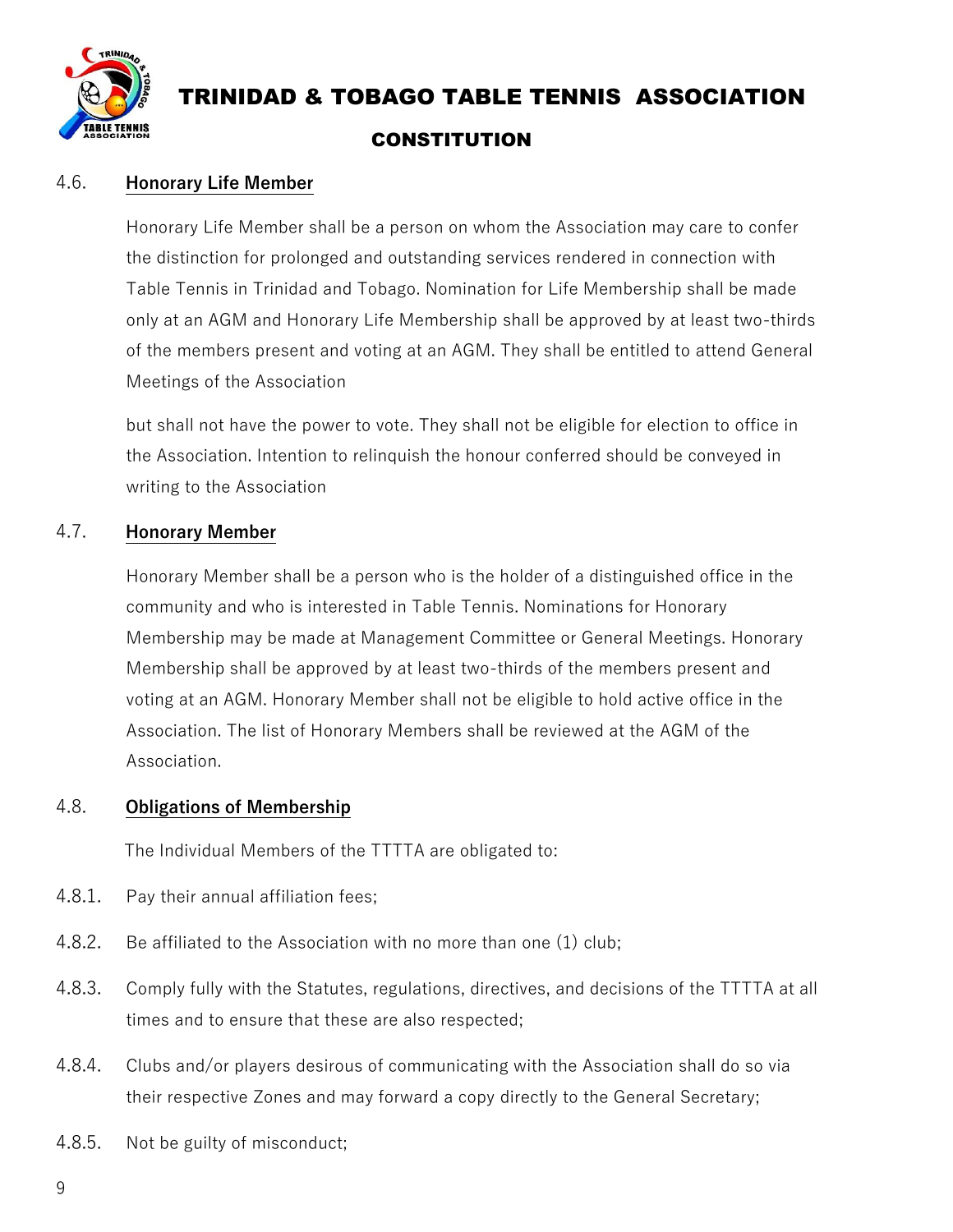

#### 4.6. **Honorary Life Member**

Honorary Life Member shall be a person on whom the Association may care to confer the distinction for prolonged and outstanding services rendered in connection with Table Tennis in Trinidad and Tobago. Nomination for Life Membership shall be made only at an AGM and Honorary Life Membership shall be approved by at least two-thirds of the members present and voting at an AGM. They shall be entitled to attend General Meetings of the Association

but shall not have the power to vote. They shall not be eligible for election to office in the Association. Intention to relinquish the honour conferred should be conveyed in writing to the Association

#### 4.7. **Honorary Member**

Honorary Member shall be a person who is the holder of a distinguished office in the community and who is interested in Table Tennis. Nominations for Honorary Membership may be made at Management Committee or General Meetings. Honorary Membership shall be approved by at least two-thirds of the members present and voting at an AGM. Honorary Member shall not be eligible to hold active office in the Association. The list of Honorary Members shall be reviewed at the AGM of the Association.

#### 4.8. **Obligations of Membership**

The Individual Members of the TTTTA are obligated to:

- 4.8.1. Pay their annual affiliation fees;
- 4.8.2. Be affiliated to the Association with no more than one (1) club;
- 4.8.3. Comply fully with the Statutes, regulations, directives, and decisions of the TTTTA at all times and to ensure that these are also respected;
- 4.8.4. Clubs and/or players desirous of communicating with the Association shall do so via their respective Zones and may forward a copy directly to the General Secretary;
- 4.8.5. Not be guilty of misconduct;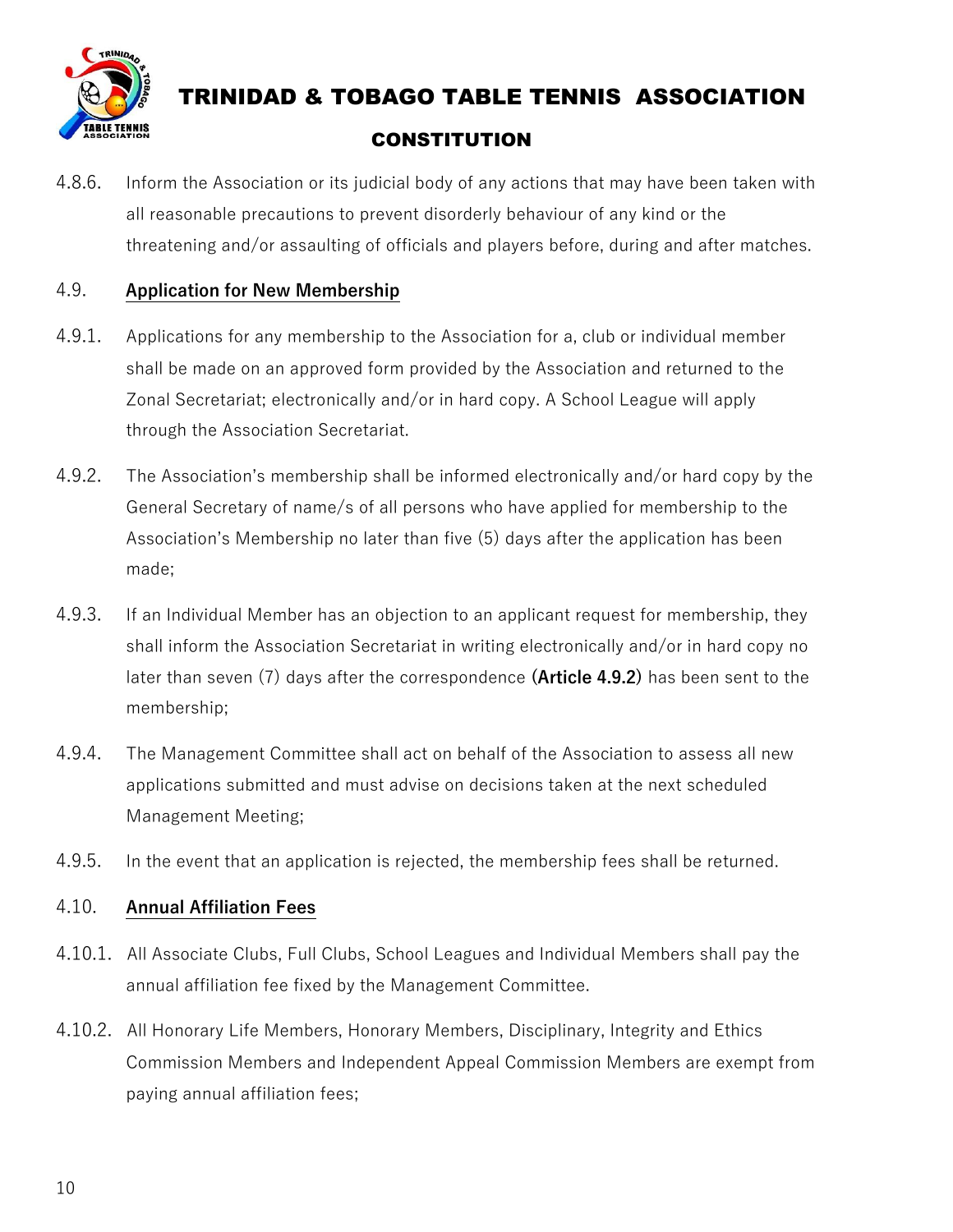

4.8.6. Inform the Association or its judicial body of any actions that may have been taken with all reasonable precautions to prevent disorderly behaviour of any kind or the threatening and/or assaulting of officials and players before, during and after matches.

#### 4.9. **Application for New Membership**

- 4.9.1. Applications for any membership to the Association for a, club or individual member shall be made on an approved form provided by the Association and returned to the Zonal Secretariat; electronically and/or in hard copy. A School League will apply through the Association Secretariat.
- 4.9.2. The Association's membership shall be informed electronically and/or hard copy by the General Secretary of name/s of all persons who have applied for membership to the Association's Membership no later than five (5) days after the application has been made;
- 4.9.3. If an Individual Member has an objection to an applicant request for membership, they shall inform the Association Secretariat in writing electronically and/or in hard copy no later than seven (7) days after the correspondence **(Article 4.9.2)** has been sent to the membership;
- 4.9.4. The Management Committee shall act on behalf of the Association to assess all new applications submitted and must advise on decisions taken at the next scheduled Management Meeting;
- 4.9.5. In the event that an application is rejected, the membership fees shall be returned.

#### 4.10. **Annual Affiliation Fees**

- 4.10.1. All Associate Clubs, Full Clubs, School Leagues and Individual Members shall pay the annual affiliation fee fixed by the Management Committee.
- 4.10.2. All Honorary Life Members, Honorary Members, Disciplinary, Integrity and Ethics Commission Members and Independent Appeal Commission Members are exempt from paying annual affiliation fees;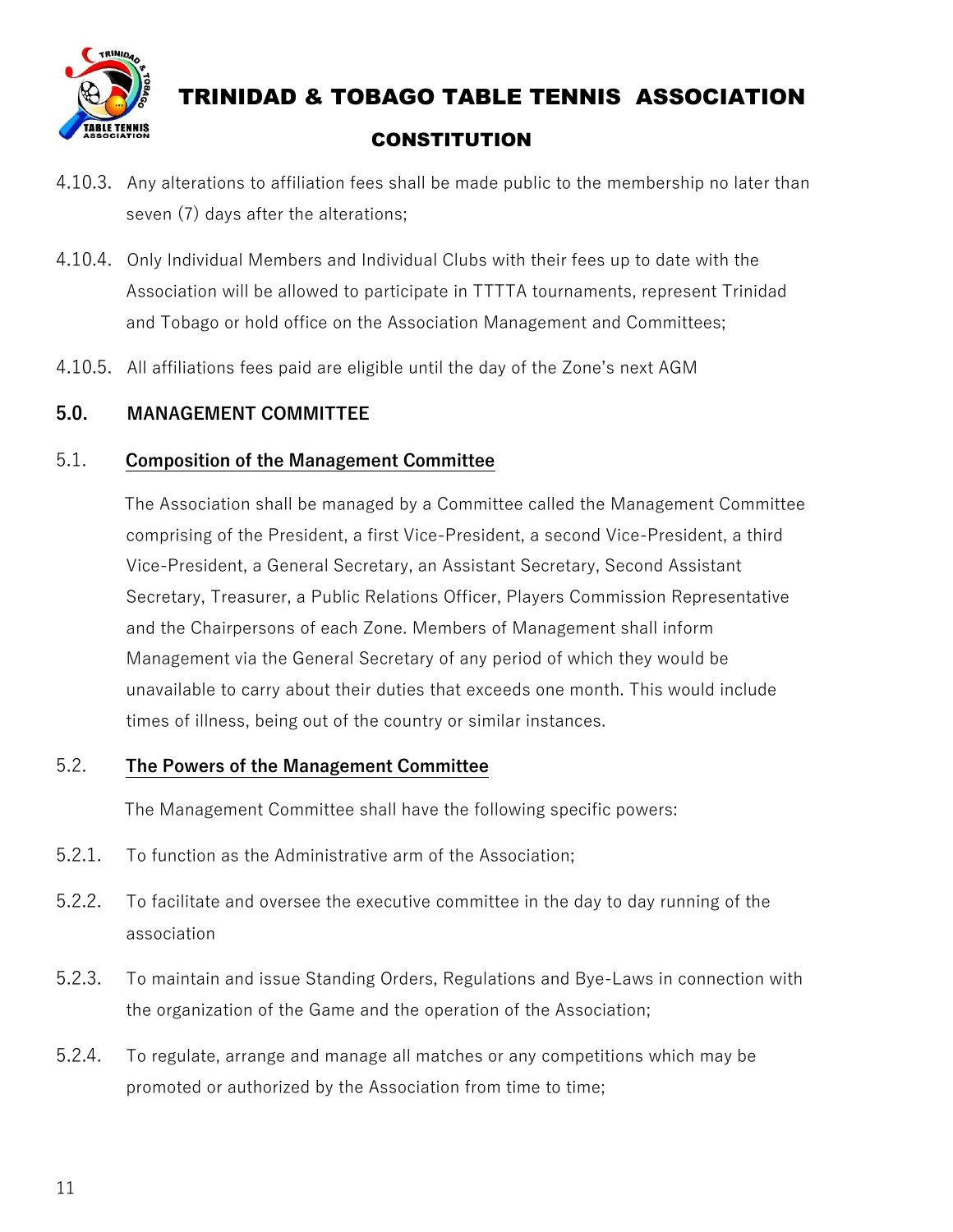

- 4.10.3. Any alterations to affiliation fees shall be made public to the membership no later than seven (7) days after the alterations;
- 4.10.4. Only Individual Members and Individual Clubs with their fees up to date with the Association will be allowed to participate in TTTTA tournaments, represent Trinidad and Tobago or hold office on the Association Management and Committees;
- 4.10.5. All affiliations fees paid are eligible until the day of the Zone's next AGM

#### **5.0. MANAGEMENT COMMITTEE**

#### 5.1. **Composition of the Management Committee**

 The Association shall be managed by a Committee called the Management Committee comprising of the President, a first Vice-President, a second Vice-President, a third Vice-President, a General Secretary, an Assistant Secretary, Second Assistant Secretary, Treasurer, a Public Relations Officer, Players Commission Representative and the Chairpersons of each Zone. Members of Management shall inform Management via the General Secretary of any period of which they would be unavailable to carry about their duties that exceeds one month. This would include times of illness, being out of the country or similar instances.

#### 5.2. **The Powers of the Management Committee**

The Management Committee shall have the following specific powers:

- 5.2.1. To function as the Administrative arm of the Association;
- 5.2.2. To facilitate and oversee the executive committee in the day to day running of the association
- 5.2.3. To maintain and issue Standing Orders, Regulations and Bye-Laws in connection with the organization of the Game and the operation of the Association;
- 5.2.4. To regulate, arrange and manage all matches or any competitions which may be promoted or authorized by the Association from time to time;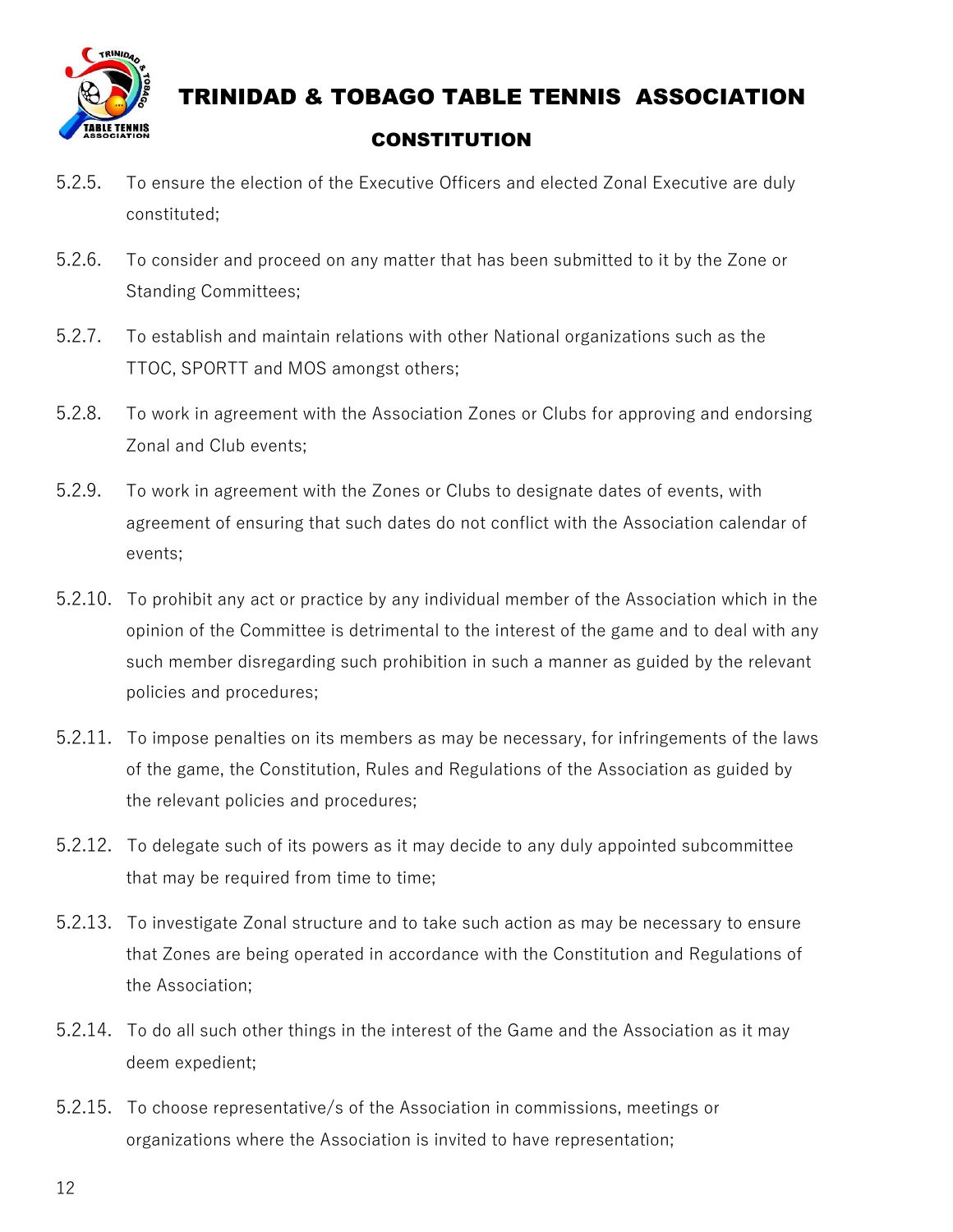

- 5.2.5. To ensure the election of the Executive Officers and elected Zonal Executive are duly constituted;
- 5.2.6. To consider and proceed on any matter that has been submitted to it by the Zone or Standing Committees;
- 5.2.7. To establish and maintain relations with other National organizations such as the TTOC, SPORTT and MOS amongst others;
- 5.2.8. To work in agreement with the Association Zones or Clubs for approving and endorsing Zonal and Club events;
- 5.2.9. To work in agreement with the Zones or Clubs to designate dates of events, with agreement of ensuring that such dates do not conflict with the Association calendar of events;
- 5.2.10. To prohibit any act or practice by any individual member of the Association which in the opinion of the Committee is detrimental to the interest of the game and to deal with any such member disregarding such prohibition in such a manner as guided by the relevant policies and procedures;
- 5.2.11. To impose penalties on its members as may be necessary, for infringements of the laws of the game, the Constitution, Rules and Regulations of the Association as guided by the relevant policies and procedures;
- 5.2.12. To delegate such of its powers as it may decide to any duly appointed subcommittee that may be required from time to time;
- 5.2.13. To investigate Zonal structure and to take such action as may be necessary to ensure that Zones are being operated in accordance with the Constitution and Regulations of the Association;
- 5.2.14. To do all such other things in the interest of the Game and the Association as it may deem expedient;
- 5.2.15. To choose representative/s of the Association in commissions, meetings or organizations where the Association is invited to have representation;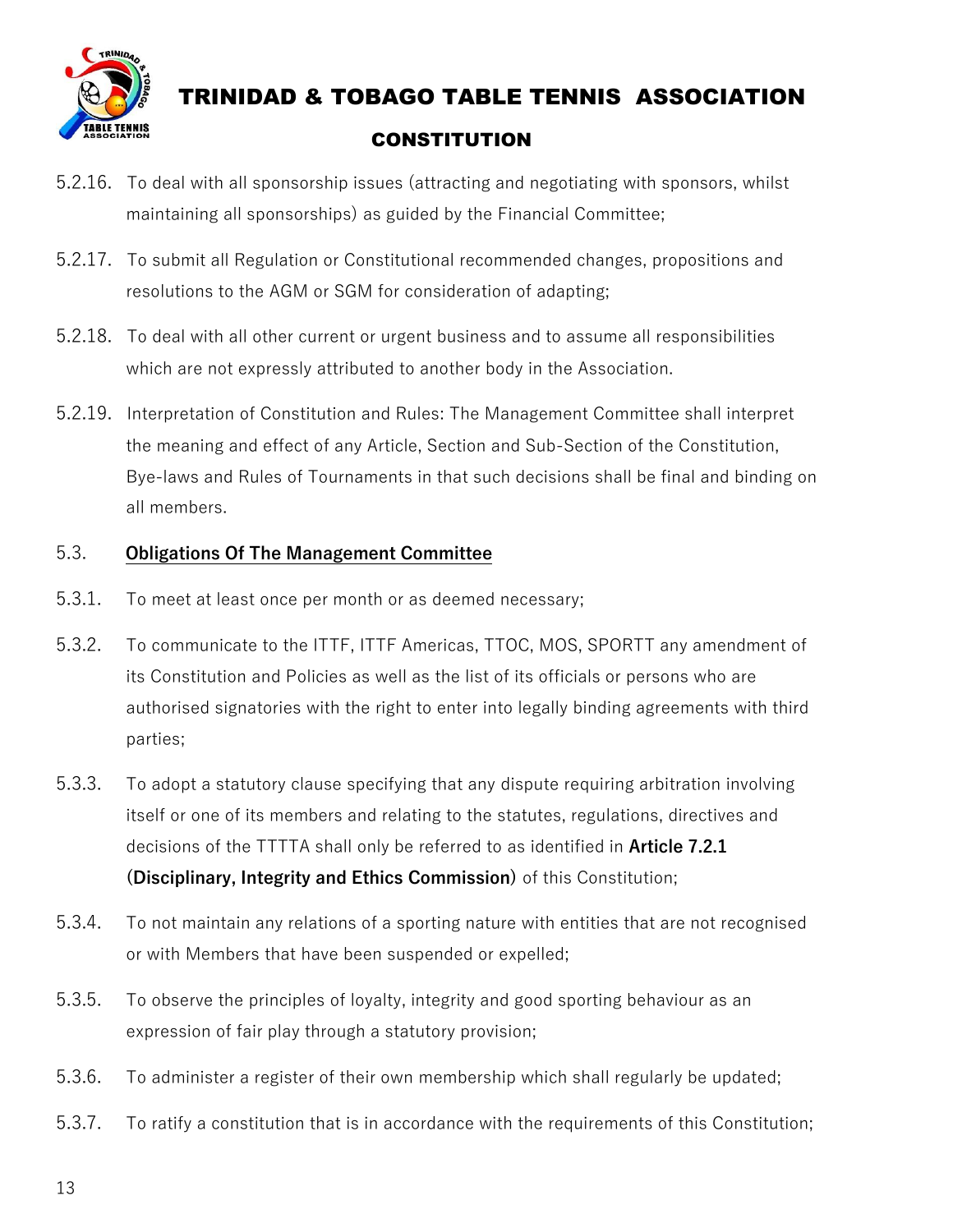

- 5.2.16. To deal with all sponsorship issues (attracting and negotiating with sponsors, whilst maintaining all sponsorships) as guided by the Financial Committee;
- 5.2.17. To submit all Regulation or Constitutional recommended changes, propositions and resolutions to the AGM or SGM for consideration of adapting;
- 5.2.18. To deal with all other current or urgent business and to assume all responsibilities which are not expressly attributed to another body in the Association.
- 5.2.19. Interpretation of Constitution and Rules: The Management Committee shall interpret the meaning and effect of any Article, Section and Sub-Section of the Constitution, Bye-laws and Rules of Tournaments in that such decisions shall be final and binding on all members.

#### 5.3. **Obligations Of The Management Committee**

- 5.3.1. To meet at least once per month or as deemed necessary;
- 5.3.2. To communicate to the ITTF, ITTF Americas, TTOC, MOS, SPORTT any amendment of its Constitution and Policies as well as the list of its officials or persons who are authorised signatories with the right to enter into legally binding agreements with third parties;
- 5.3.3. To adopt a statutory clause specifying that any dispute requiring arbitration involving itself or one of its members and relating to the statutes, regulations, directives and decisions of the TTTTA shall only be referred to as identified in **Article 7.2.1 (Disciplinary, Integrity and Ethics Commission)** of this Constitution;
- 5.3.4. To not maintain any relations of a sporting nature with entities that are not recognised or with Members that have been suspended or expelled;
- 5.3.5. To observe the principles of loyalty, integrity and good sporting behaviour as an expression of fair play through a statutory provision;
- 5.3.6. To administer a register of their own membership which shall regularly be updated;
- 5.3.7. To ratify a constitution that is in accordance with the requirements of this Constitution;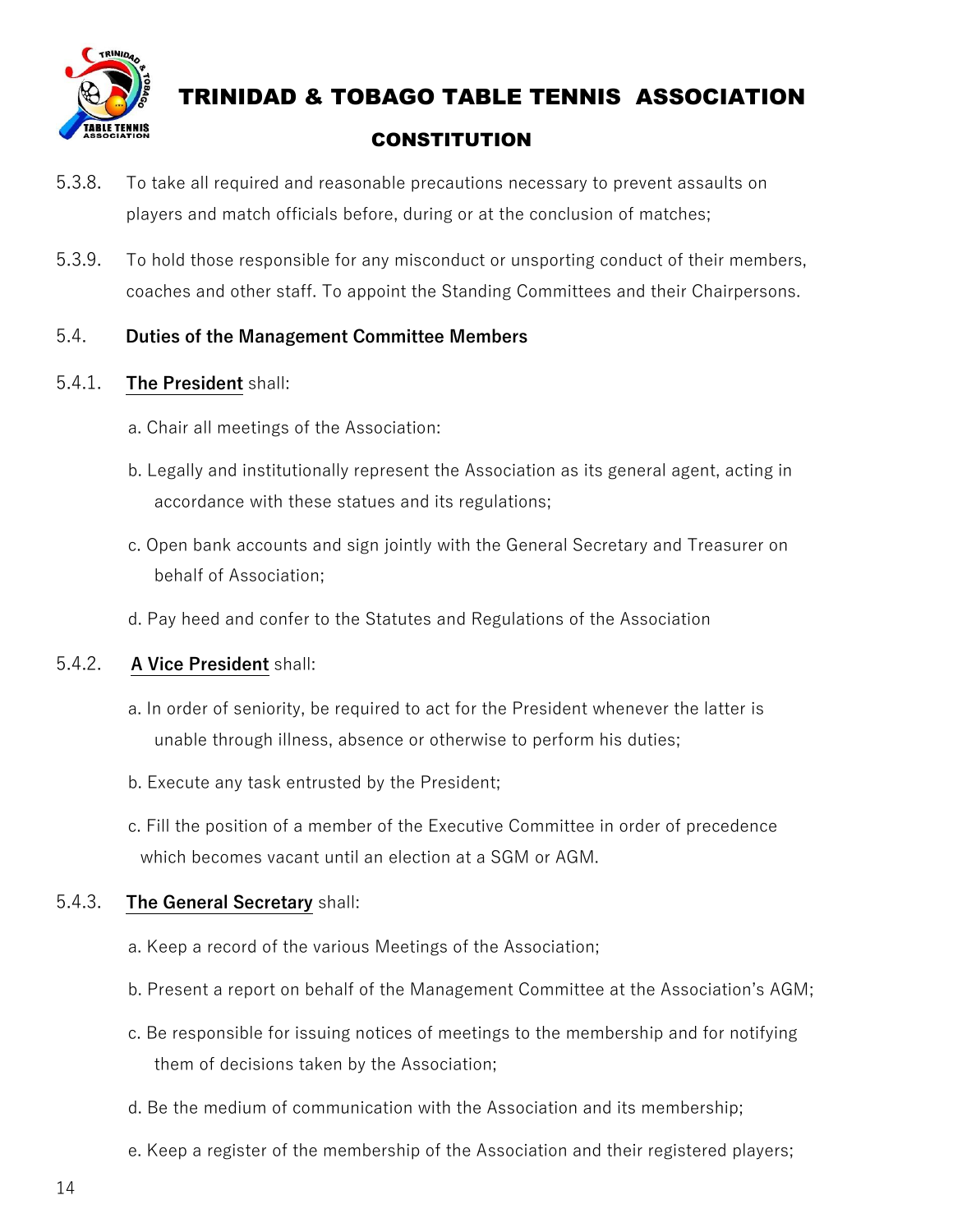

- 5.3.8. To take all required and reasonable precautions necessary to prevent assaults on players and match officials before, during or at the conclusion of matches;
- 5.3.9. To hold those responsible for any misconduct or unsporting conduct of their members, coaches and other staff. To appoint the Standing Committees and their Chairpersons.

#### 5.4. **Duties of the Management Committee Members**

#### 5.4.1. **The President** shall:

- a. Chair all meetings of the Association:
- b. Legally and institutionally represent the Association as its general agent, acting in accordance with these statues and its regulations;
- c. Open bank accounts and sign jointly with the General Secretary and Treasurer on behalf of Association;
- d. Pay heed and confer to the Statutes and Regulations of the Association

#### 5.4.2. **A Vice President** shall:

- a. In order of seniority, be required to act for the President whenever the latter is unable through illness, absence or otherwise to perform his duties;
- b. Execute any task entrusted by the President;
- c. Fill the position of a member of the Executive Committee in order of precedence which becomes vacant until an election at a SGM or AGM.

#### 5.4.3. **The General Secretary** shall:

- a. Keep a record of the various Meetings of the Association;
- b. Present a report on behalf of the Management Committee at the Association's AGM;
- c. Be responsible for issuing notices of meetings to the membership and for notifying them of decisions taken by the Association;
- d. Be the medium of communication with the Association and its membership;
- e. Keep a register of the membership of the Association and their registered players;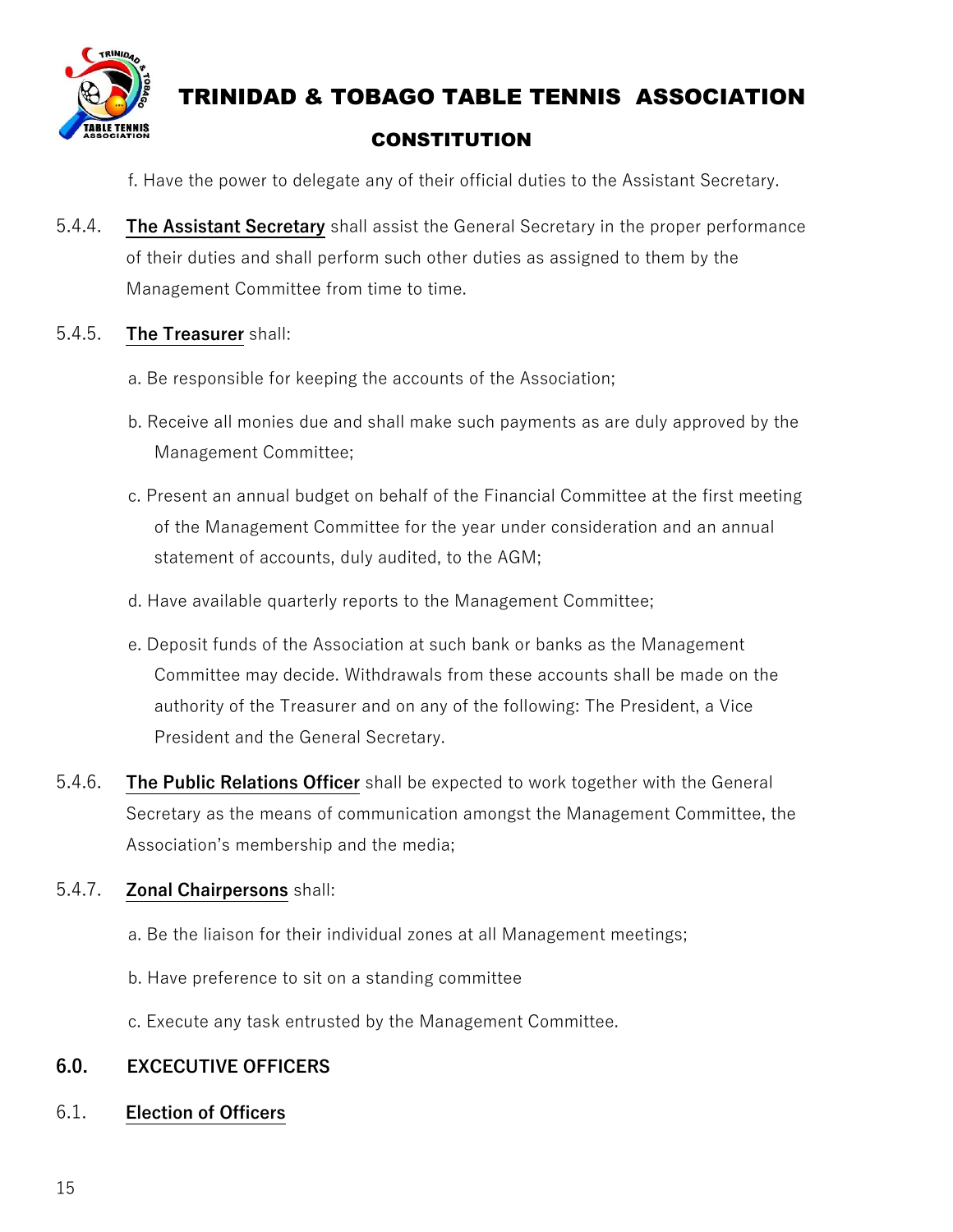

f. Have the power to delegate any of their official duties to the Assistant Secretary.

5.4.4. **The Assistant Secretary** shall assist the General Secretary in the proper performance of their duties and shall perform such other duties as assigned to them by the Management Committee from time to time.

#### 5.4.5. **The Treasurer** shall:

- a. Be responsible for keeping the accounts of the Association;
- b. Receive all monies due and shall make such payments as are duly approved by the Management Committee;
- c. Present an annual budget on behalf of the Financial Committee at the first meeting of the Management Committee for the year under consideration and an annual statement of accounts, duly audited, to the AGM;
- d. Have available quarterly reports to the Management Committee;
- e. Deposit funds of the Association at such bank or banks as the Management Committee may decide. Withdrawals from these accounts shall be made on the authority of the Treasurer and on any of the following: The President, a Vice President and the General Secretary.
- 5.4.6. **The Public Relations Officer** shall be expected to work together with the General Secretary as the means of communication amongst the Management Committee, the Association's membership and the media;

#### 5.4.7. **Zonal Chairpersons** shall:

- a. Be the liaison for their individual zones at all Management meetings;
- b. Have preference to sit on a standing committee
- c. Execute any task entrusted by the Management Committee.

#### **6.0. EXCECUTIVE OFFICERS**

#### 6.1. **Election of Officers**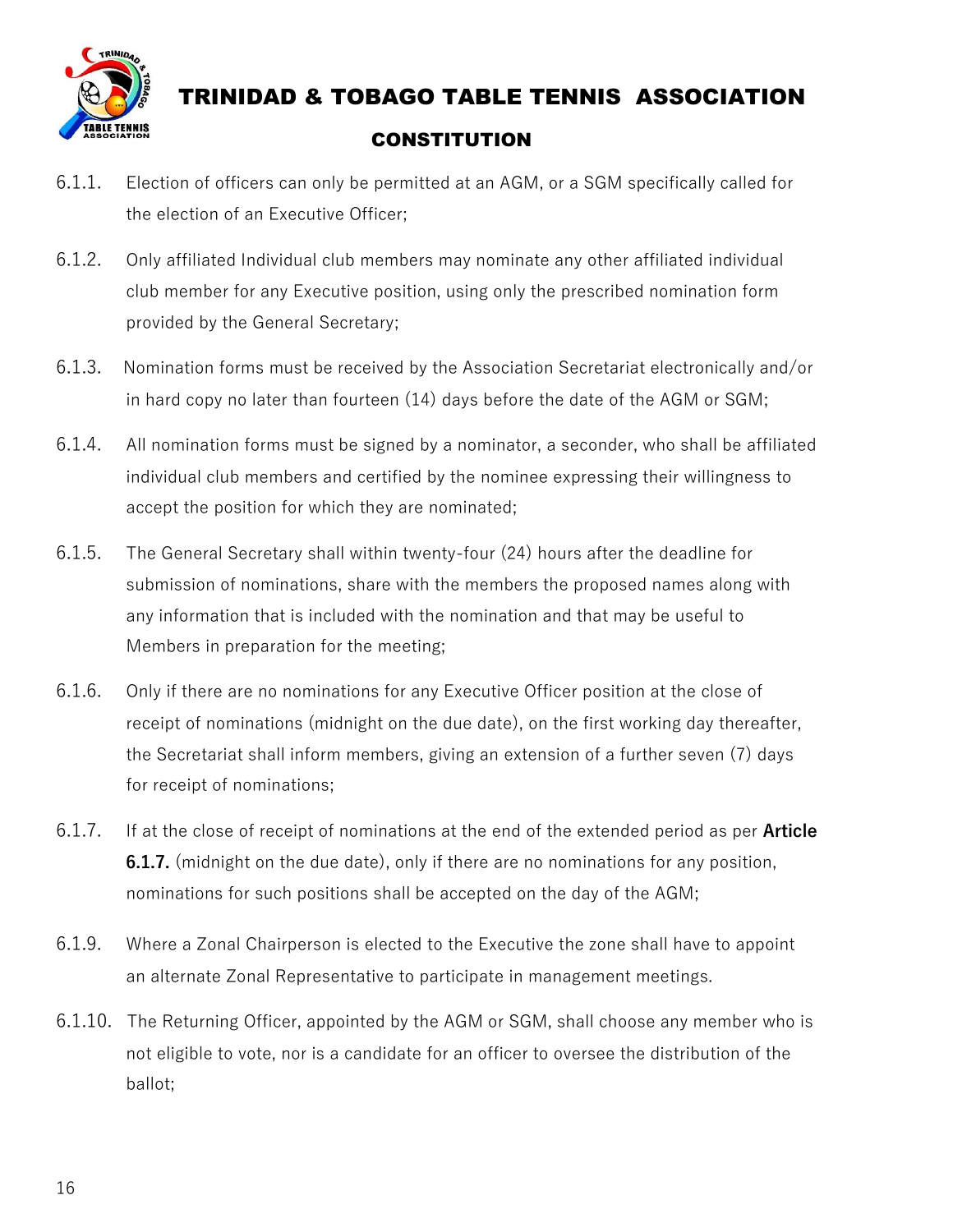

- 6.1.1. Election of officers can only be permitted at an AGM, or a SGM specifically called for the election of an Executive Officer;
- 6.1.2. Only affiliated Individual club members may nominate any other affiliated individual club member for any Executive position, using only the prescribed nomination form provided by the General Secretary;
- 6.1.3. Nomination forms must be received by the Association Secretariat electronically and/or in hard copy no later than fourteen (14) days before the date of the AGM or SGM;
- 6.1.4. All nomination forms must be signed by a nominator, a seconder, who shall be affiliated individual club members and certified by the nominee expressing their willingness to accept the position for which they are nominated;
- 6.1.5. The General Secretary shall within twenty-four (24) hours after the deadline for submission of nominations, share with the members the proposed names along with any information that is included with the nomination and that may be useful to Members in preparation for the meeting;
- 6.1.6. Only if there are no nominations for any Executive Officer position at the close of receipt of nominations (midnight on the due date), on the first working day thereafter, the Secretariat shall inform members, giving an extension of a further seven (7) days for receipt of nominations;
- 6.1.7. If at the close of receipt of nominations at the end of the extended period as per **Article 6.1.7.** (midnight on the due date), only if there are no nominations for any position, nominations for such positions shall be accepted on the day of the AGM;
- 6.1.9. Where a Zonal Chairperson is elected to the Executive the zone shall have to appoint an alternate Zonal Representative to participate in management meetings.
- 6.1.10. The Returning Officer, appointed by the AGM or SGM, shall choose any member who is not eligible to vote, nor is a candidate for an officer to oversee the distribution of the ballot;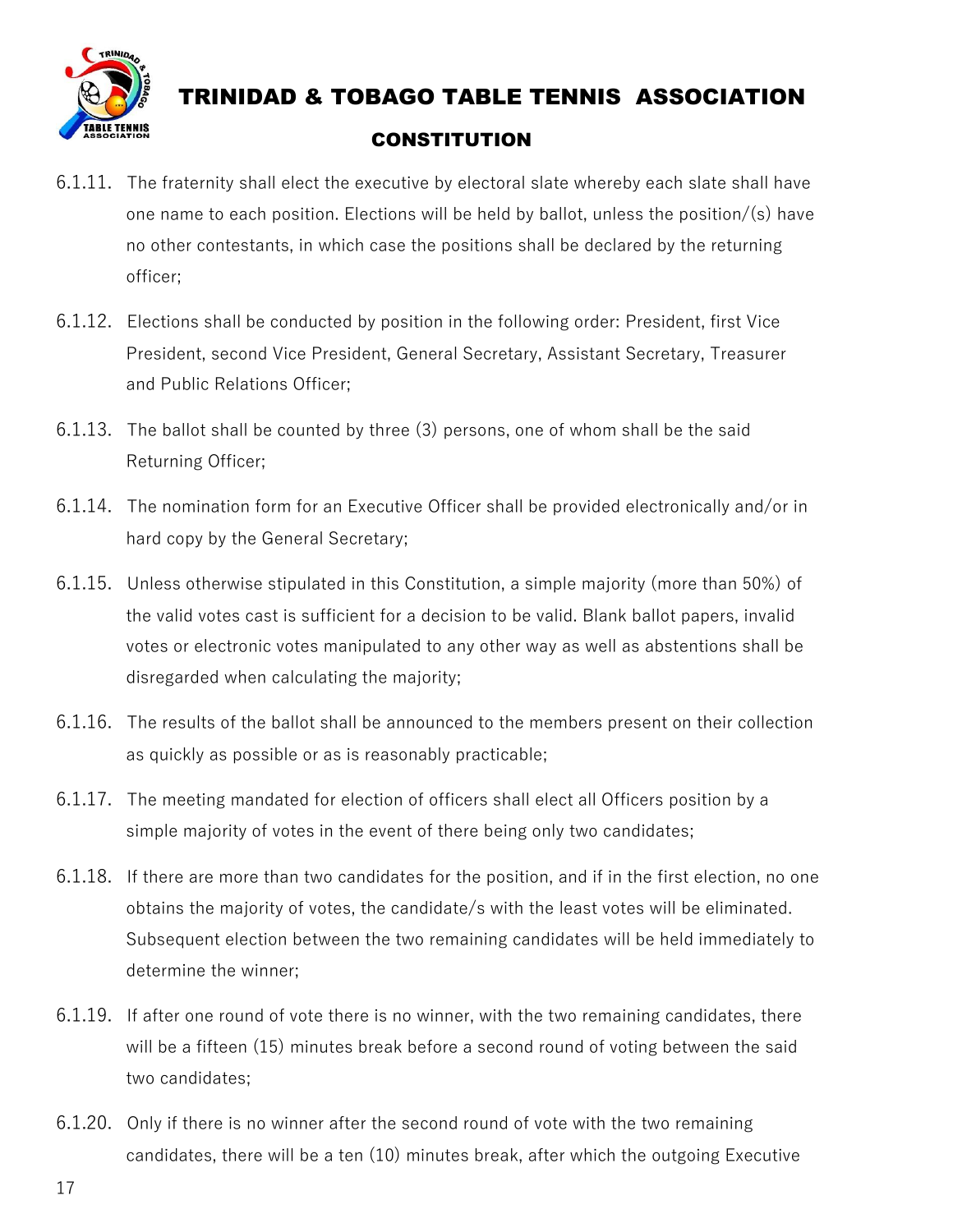

- 6.1.11. The fraternity shall elect the executive by electoral slate whereby each slate shall have one name to each position. Elections will be held by ballot, unless the position/(s) have no other contestants, in which case the positions shall be declared by the returning officer;
- 6.1.12. Elections shall be conducted by position in the following order: President, first Vice President, second Vice President, General Secretary, Assistant Secretary, Treasurer and Public Relations Officer;
- 6.1.13. The ballot shall be counted by three (3) persons, one of whom shall be the said Returning Officer;
- 6.1.14. The nomination form for an Executive Officer shall be provided electronically and/or in hard copy by the General Secretary;
- 6.1.15. Unless otherwise stipulated in this Constitution, a simple majority (more than 50%) of the valid votes cast is sufficient for a decision to be valid. Blank ballot papers, invalid votes or electronic votes manipulated to any other way as well as abstentions shall be disregarded when calculating the majority;
- 6.1.16. The results of the ballot shall be announced to the members present on their collection as quickly as possible or as is reasonably practicable;
- 6.1.17. The meeting mandated for election of officers shall elect all Officers position by a simple majority of votes in the event of there being only two candidates;
- 6.1.18. If there are more than two candidates for the position, and if in the first election, no one obtains the majority of votes, the candidate/s with the least votes will be eliminated. Subsequent election between the two remaining candidates will be held immediately to determine the winner;
- 6.1.19. If after one round of vote there is no winner, with the two remaining candidates, there will be a fifteen (15) minutes break before a second round of voting between the said two candidates;
- 6.1.20. Only if there is no winner after the second round of vote with the two remaining candidates, there will be a ten (10) minutes break, after which the outgoing Executive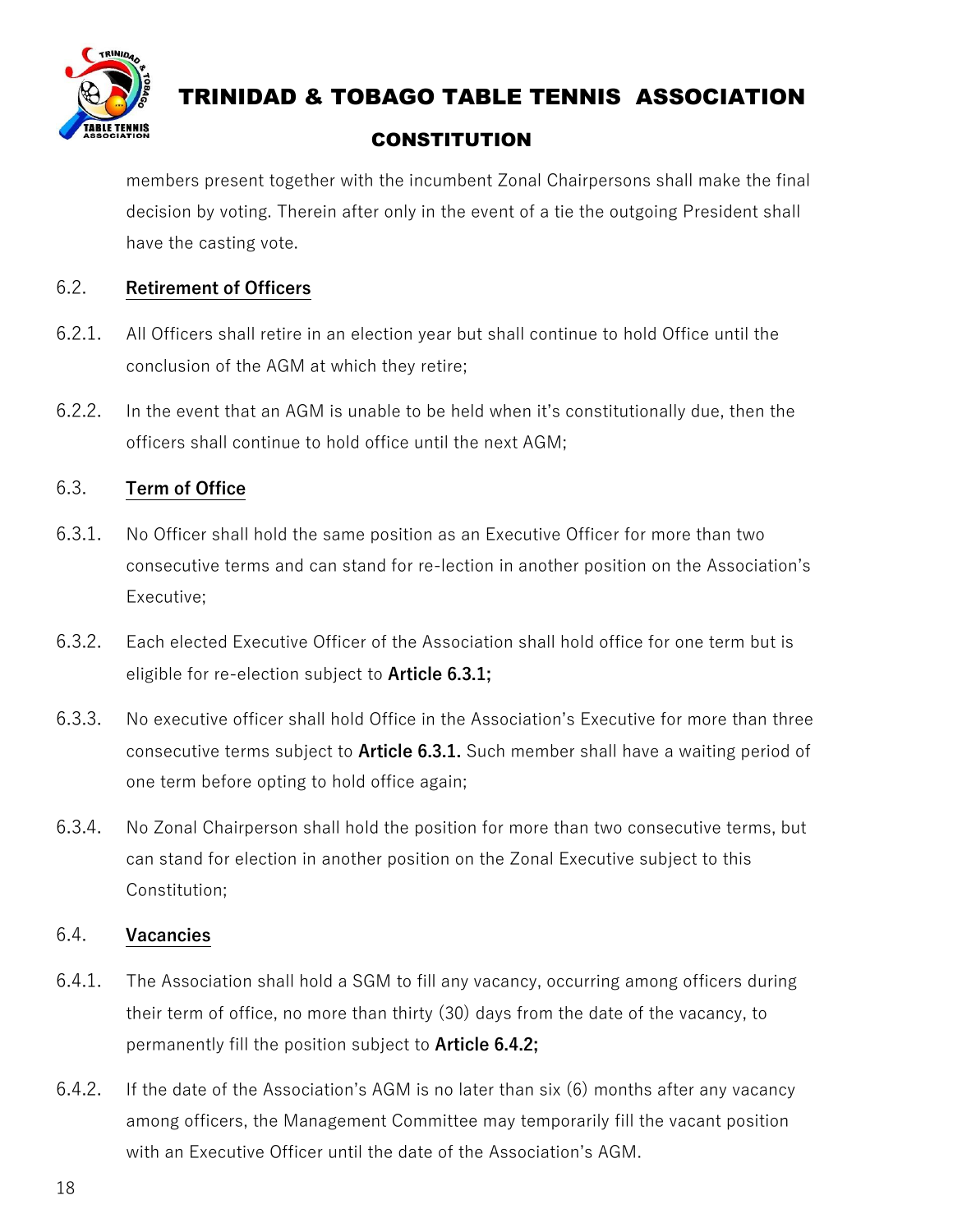

# TRINIDAD & TOBAGO TABLE TENNIS ASSOCIATION

#### **CONSTITUTION**

members present together with the incumbent Zonal Chairpersons shall make the final decision by voting. Therein after only in the event of a tie the outgoing President shall have the casting vote.

#### 6.2. **Retirement of Officers**

- 6.2.1. All Officers shall retire in an election year but shall continue to hold Office until the conclusion of the AGM at which they retire;
- 6.2.2. In the event that an AGM is unable to be held when it's constitutionally due, then the officers shall continue to hold office until the next AGM;

#### 6.3. **Term of Office**

- 6.3.1. No Officer shall hold the same position as an Executive Officer for more than two consecutive terms and can stand for re-lection in another position on the Association's Executive;
- 6.3.2. Each elected Executive Officer of the Association shall hold office for one term but is eligible for re-election subject to **Article 6.3.1;**
- 6.3.3. No executive officer shall hold Office in the Association's Executive for more than three consecutive terms subject to **Article 6.3.1.** Such member shall have a waiting period of one term before opting to hold office again;
- 6.3.4. No Zonal Chairperson shall hold the position for more than two consecutive terms, but can stand for election in another position on the Zonal Executive subject to this Constitution;

#### 6.4. **Vacancies**

- 6.4.1. The Association shall hold a SGM to fill any vacancy, occurring among officers during their term of office, no more than thirty (30) days from the date of the vacancy, to permanently fill the position subject to **Article 6.4.2;**
- 6.4.2. If the date of the Association's AGM is no later than six (6) months after any vacancy among officers, the Management Committee may temporarily fill the vacant position with an Executive Officer until the date of the Association's AGM.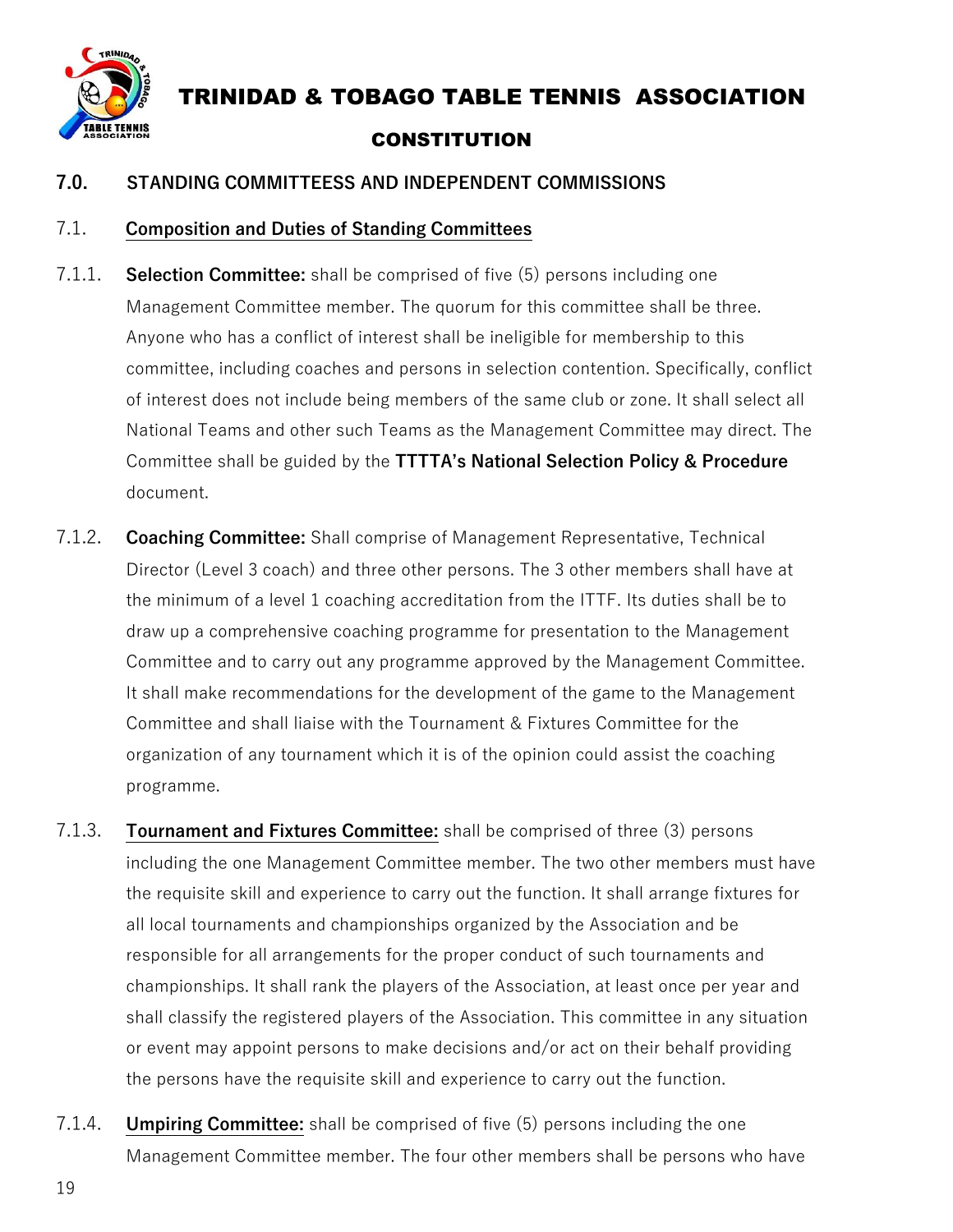

#### **7.0. STANDING COMMITTEESS AND INDEPENDENT COMMISSIONS**

#### 7.1. **Composition and Duties of Standing Committees**

- 7.1.1. **Selection Committee:** shall be comprised of five (5) persons including one Management Committee member. The quorum for this committee shall be three. Anyone who has a conflict of interest shall be ineligible for membership to this committee, including coaches and persons in selection contention. Specifically, conflict of interest does not include being members of the same club or zone. It shall select all National Teams and other such Teams as the Management Committee may direct. The Committee shall be guided by the **TTTTA's National Selection Policy & Procedure** document.
- 7.1.2. **Coaching Committee:** Shall comprise of Management Representative, Technical Director (Level 3 coach) and three other persons. The 3 other members shall have at the minimum of a level 1 coaching accreditation from the ITTF. Its duties shall be to draw up a comprehensive coaching programme for presentation to the Management Committee and to carry out any programme approved by the Management Committee. It shall make recommendations for the development of the game to the Management Committee and shall liaise with the Tournament & Fixtures Committee for the organization of any tournament which it is of the opinion could assist the coaching programme.
- 7.1.3. **Tournament and Fixtures Committee:** shall be comprised of three (3) persons including the one Management Committee member. The two other members must have the requisite skill and experience to carry out the function. It shall arrange fixtures for all local tournaments and championships organized by the Association and be responsible for all arrangements for the proper conduct of such tournaments and championships. It shall rank the players of the Association, at least once per year and shall classify the registered players of the Association. This committee in any situation or event may appoint persons to make decisions and/or act on their behalf providing the persons have the requisite skill and experience to carry out the function.
- 7.1.4. **Umpiring Committee:** shall be comprised of five (5) persons including the one Management Committee member. The four other members shall be persons who have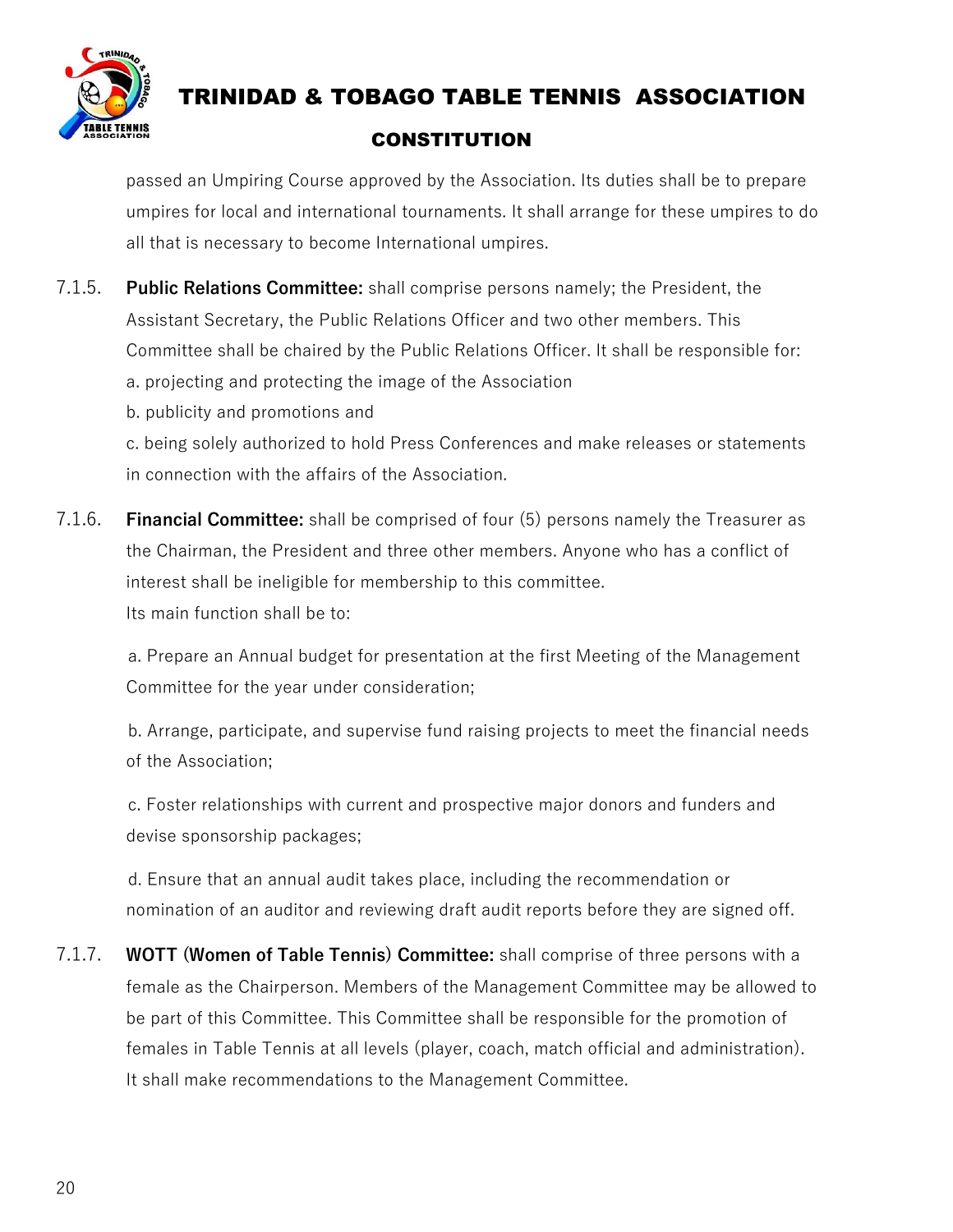

passed an Umpiring Course approved by the Association. Its duties shall be to prepare umpires for local and international tournaments. It shall arrange for these umpires to do all that is necessary to become International umpires.

- 7.1.5. **Public Relations Committee:** shall comprise persons namely; the President, the Assistant Secretary, the Public Relations Officer and two other members. This Committee shall be chaired by the Public Relations Officer. It shall be responsible for: a. projecting and protecting the image of the Association
	- b. publicity and promotions and

c. being solely authorized to hold Press Conferences and make releases or statements in connection with the affairs of the Association.

7.1.6. **Financial Committee:** shall be comprised of four (5) persons namely the Treasurer as the Chairman, the President and three other members. Anyone who has a conflict of interest shall be ineligible for membership to this committee. Its main function shall be to:

 a. Prepare an Annual budget for presentation at the first Meeting of the Management Committee for the year under consideration;

 b. Arrange, participate, and supervise fund raising projects to meet the financial needs of the Association;

 c. Foster relationships with current and prospective major donors and funders and devise sponsorship packages;

 d. Ensure that an annual audit takes place, including the recommendation or nomination of an auditor and reviewing draft audit reports before they are signed off.

7.1.7. **WOTT (Women of Table Tennis) Committee:** shall comprise of three persons with a female as the Chairperson. Members of the Management Committee may be allowed to be part of this Committee. This Committee shall be responsible for the promotion of females in Table Tennis at all levels (player, coach, match official and administration). It shall make recommendations to the Management Committee.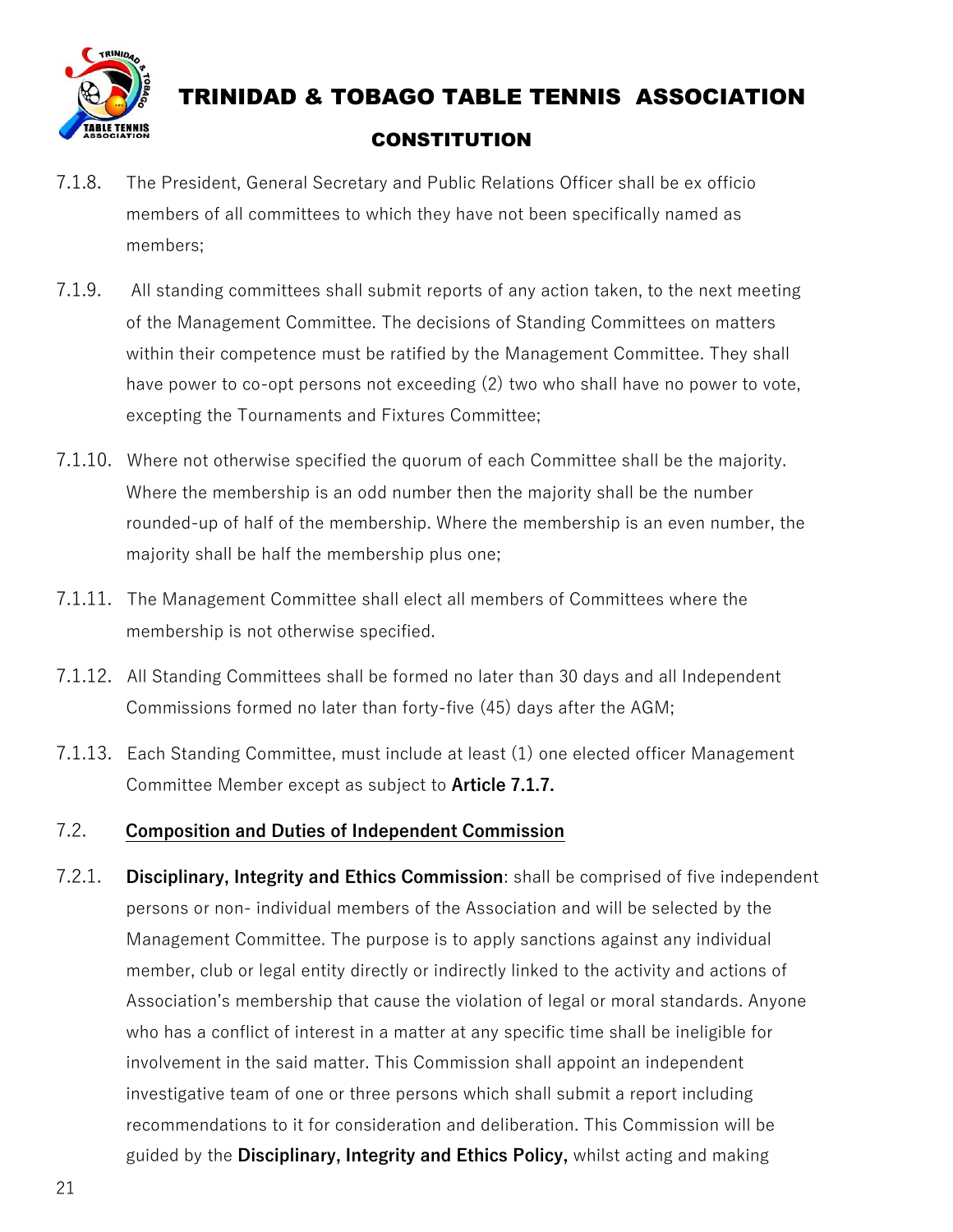

- 7.1.8. The President, General Secretary and Public Relations Officer shall be ex officio members of all committees to which they have not been specifically named as members;
- 7.1.9. All standing committees shall submit reports of any action taken, to the next meeting of the Management Committee. The decisions of Standing Committees on matters within their competence must be ratified by the Management Committee. They shall have power to co-opt persons not exceeding (2) two who shall have no power to vote, excepting the Tournaments and Fixtures Committee;
- 7.1.10. Where not otherwise specified the quorum of each Committee shall be the majority. Where the membership is an odd number then the majority shall be the number rounded-up of half of the membership. Where the membership is an even number, the majority shall be half the membership plus one;
- 7.1.11. The Management Committee shall elect all members of Committees where the membership is not otherwise specified.
- 7.1.12. All Standing Committees shall be formed no later than 30 days and all Independent Commissions formed no later than forty-five (45) days after the AGM;
- 7.1.13. Each Standing Committee, must include at least (1) one elected officer Management Committee Member except as subject to **Article 7.1.7.**

#### 7.2. **Composition and Duties of Independent Commission**

7.2.1. **Disciplinary, Integrity and Ethics Commission**: shall be comprised of five independent persons or non- individual members of the Association and will be selected by the Management Committee. The purpose is to apply sanctions against any individual member, club or legal entity directly or indirectly linked to the activity and actions of Association's membership that cause the violation of legal or moral standards. Anyone who has a conflict of interest in a matter at any specific time shall be ineligible for involvement in the said matter. This Commission shall appoint an independent investigative team of one or three persons which shall submit a report including recommendations to it for consideration and deliberation. This Commission will be guided by the **Disciplinary, Integrity and Ethics Policy,** whilst acting and making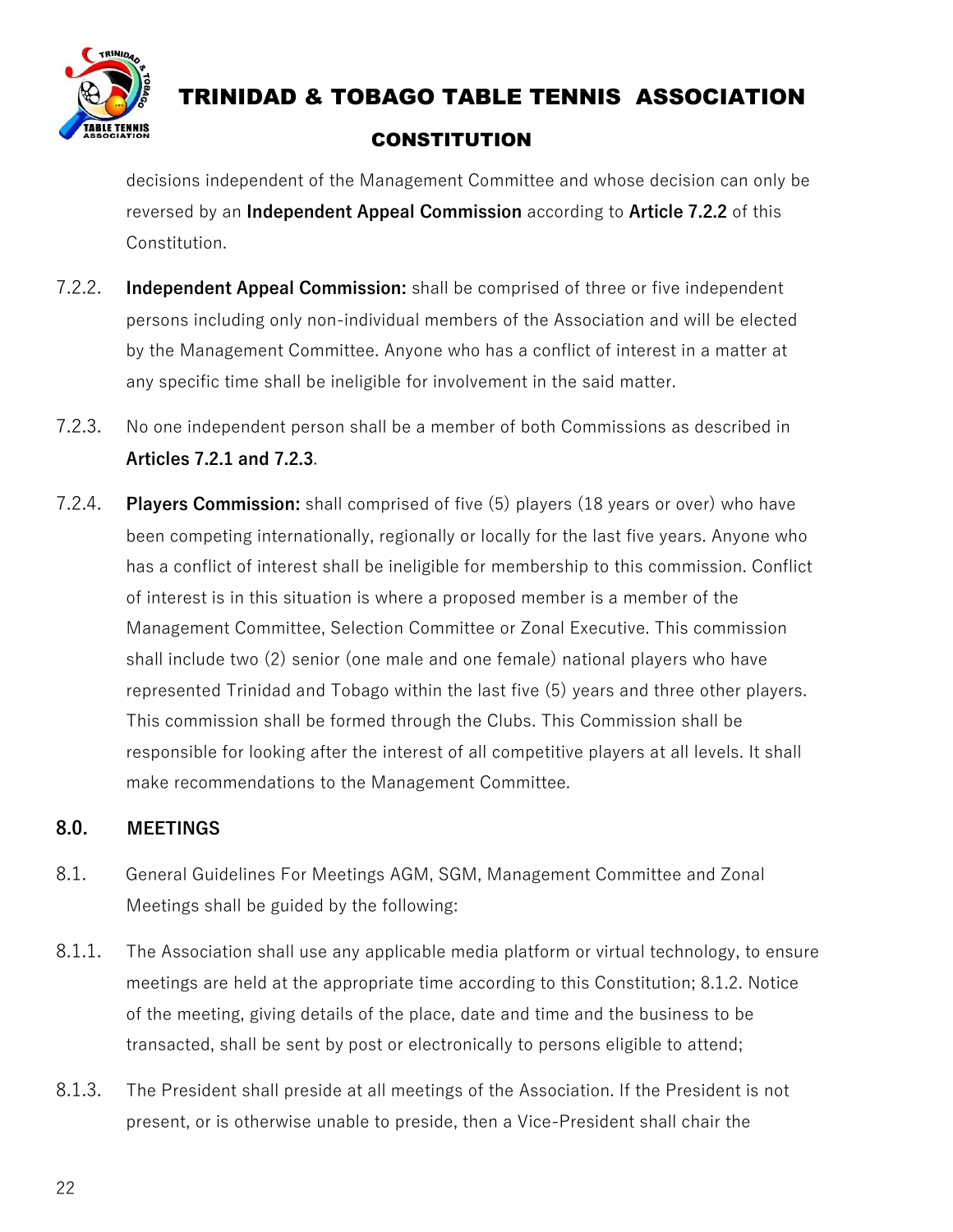

decisions independent of the Management Committee and whose decision can only be reversed by an **Independent Appeal Commission** according to **Article 7.2.2** of this Constitution.

- 7.2.2. **Independent Appeal Commission:** shall be comprised of three or five independent persons including only non-individual members of the Association and will be elected by the Management Committee. Anyone who has a conflict of interest in a matter at any specific time shall be ineligible for involvement in the said matter.
- 7.2.3. No one independent person shall be a member of both Commissions as described in **Articles 7.2.1 and 7.2.3**.
- 7.2.4. **Players Commission:** shall comprised of five (5) players (18 years or over) who have been competing internationally, regionally or locally for the last five years. Anyone who has a conflict of interest shall be ineligible for membership to this commission. Conflict of interest is in this situation is where a proposed member is a member of the Management Committee, Selection Committee or Zonal Executive. This commission shall include two (2) senior (one male and one female) national players who have represented Trinidad and Tobago within the last five (5) years and three other players. This commission shall be formed through the Clubs. This Commission shall be responsible for looking after the interest of all competitive players at all levels. It shall make recommendations to the Management Committee.

#### **8.0. MEETINGS**

- 8.1. General Guidelines For Meetings AGM, SGM, Management Committee and Zonal Meetings shall be guided by the following:
- 8.1.1. The Association shall use any applicable media platform or virtual technology, to ensure meetings are held at the appropriate time according to this Constitution; 8.1.2. Notice of the meeting, giving details of the place, date and time and the business to be transacted, shall be sent by post or electronically to persons eligible to attend;
- 8.1.3. The President shall preside at all meetings of the Association. If the President is not present, or is otherwise unable to preside, then a Vice-President shall chair the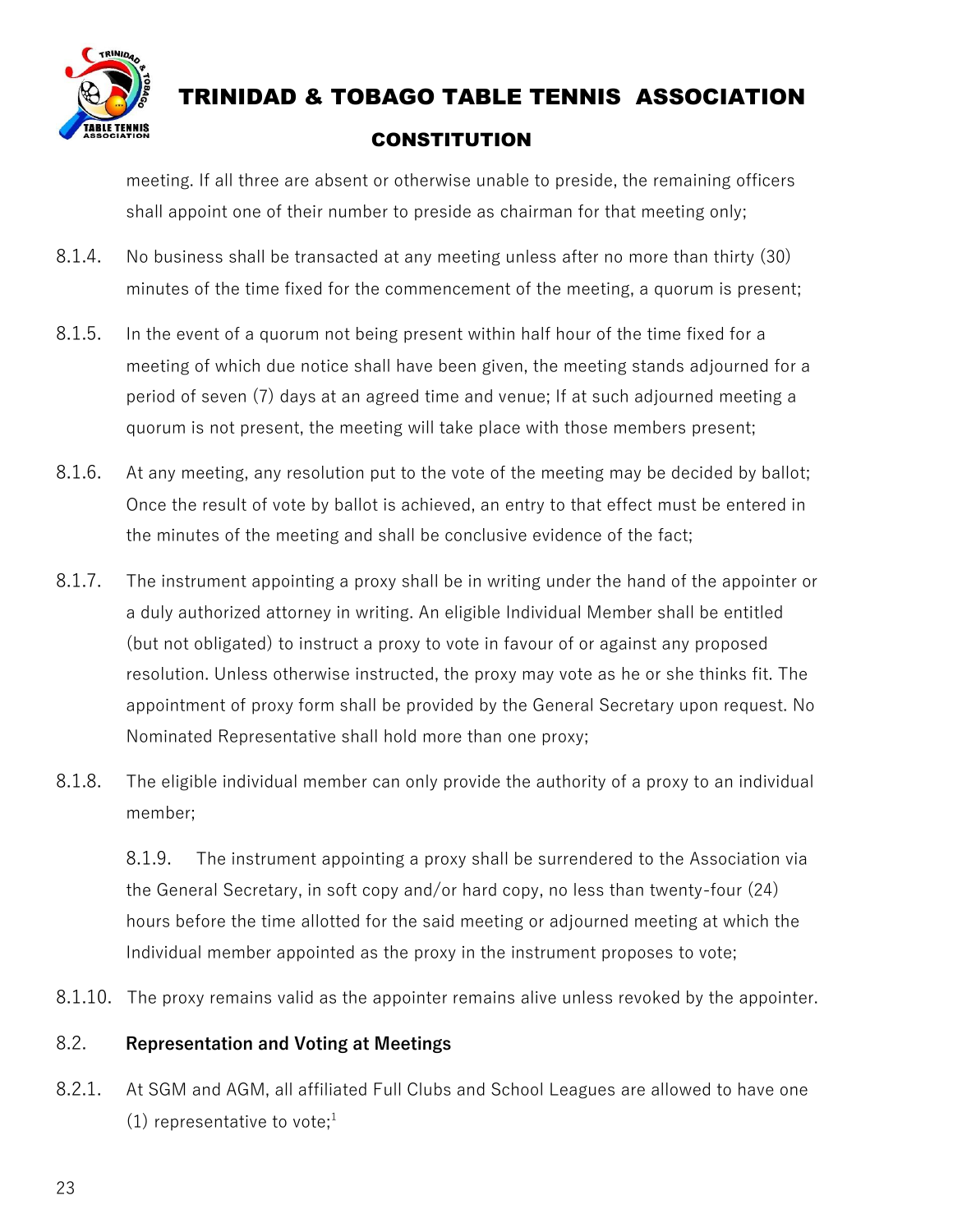

meeting. If all three are absent or otherwise unable to preside, the remaining officers shall appoint one of their number to preside as chairman for that meeting only;

- 8.1.4. No business shall be transacted at any meeting unless after no more than thirty (30) minutes of the time fixed for the commencement of the meeting, a quorum is present;
- 8.1.5. In the event of a quorum not being present within half hour of the time fixed for a meeting of which due notice shall have been given, the meeting stands adjourned for a period of seven (7) days at an agreed time and venue; If at such adjourned meeting a quorum is not present, the meeting will take place with those members present;
- 8.1.6. At any meeting, any resolution put to the vote of the meeting may be decided by ballot; Once the result of vote by ballot is achieved, an entry to that effect must be entered in the minutes of the meeting and shall be conclusive evidence of the fact;
- 8.1.7. The instrument appointing a proxy shall be in writing under the hand of the appointer or a duly authorized attorney in writing. An eligible Individual Member shall be entitled (but not obligated) to instruct a proxy to vote in favour of or against any proposed resolution. Unless otherwise instructed, the proxy may vote as he or she thinks fit. The appointment of proxy form shall be provided by the General Secretary upon request. No Nominated Representative shall hold more than one proxy;
- 8.1.8. The eligible individual member can only provide the authority of a proxy to an individual member;

8.1.9. The instrument appointing a proxy shall be surrendered to the Association via the General Secretary, in soft copy and/or hard copy, no less than twenty-four (24) hours before the time allotted for the said meeting or adjourned meeting at which the Individual member appointed as the proxy in the instrument proposes to vote;

8.1.10. The proxy remains valid as the appointer remains alive unless revoked by the appointer.

#### 8.2. **Representation and Voting at Meetings**

8.2.1. At SGM and AGM, all affiliated Full Clubs and School Leagues are allowed to have one (1) representative to vote;<sup>1</sup>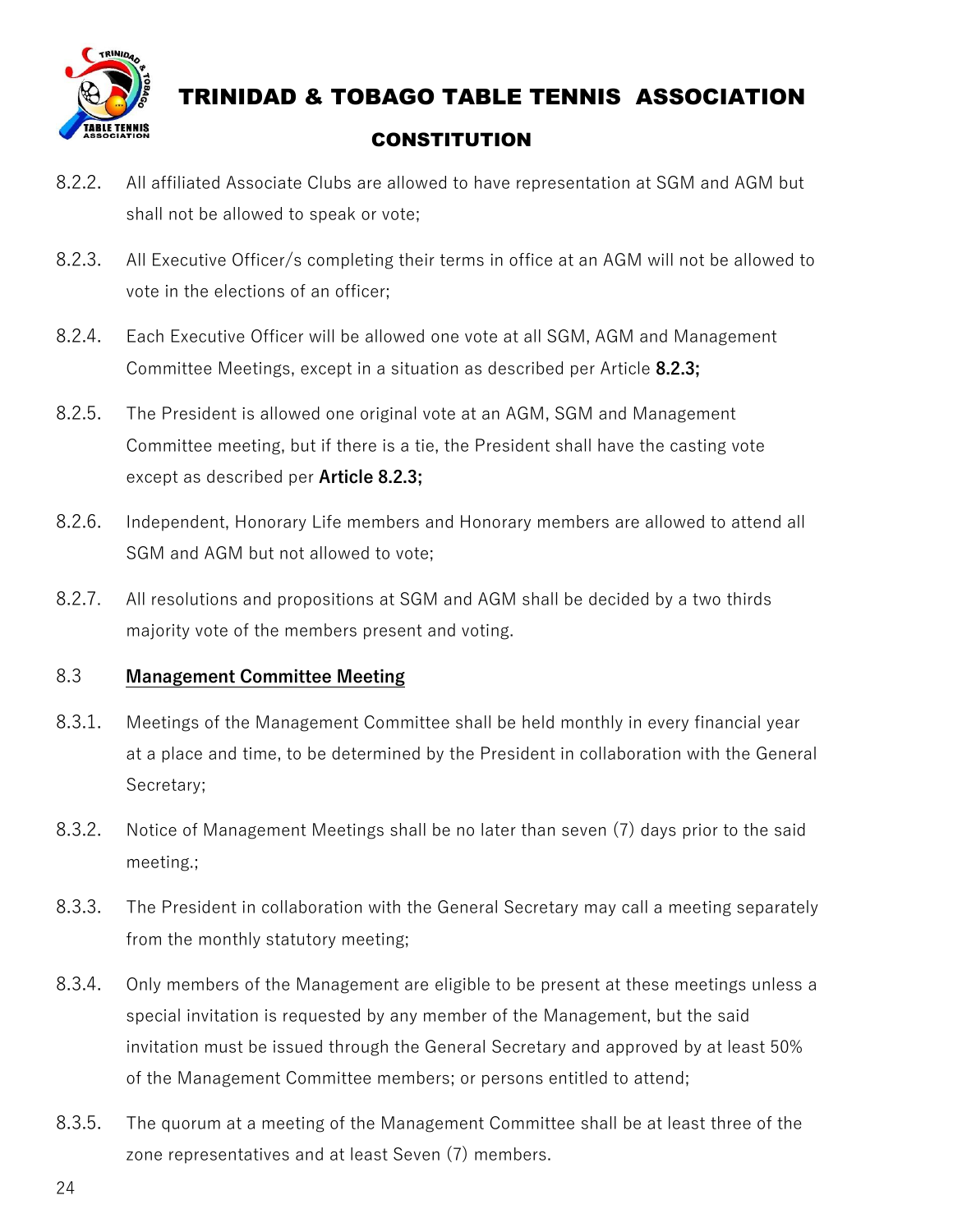

- 8.2.2. All affiliated Associate Clubs are allowed to have representation at SGM and AGM but shall not be allowed to speak or vote;
- 8.2.3. All Executive Officer/s completing their terms in office at an AGM will not be allowed to vote in the elections of an officer;
- 8.2.4. Each Executive Officer will be allowed one vote at all SGM, AGM and Management Committee Meetings, except in a situation as described per Article **8.2.3;**
- 8.2.5. The President is allowed one original vote at an AGM, SGM and Management Committee meeting, but if there is a tie, the President shall have the casting vote except as described per **Article 8.2.3;**
- 8.2.6. Independent, Honorary Life members and Honorary members are allowed to attend all SGM and AGM but not allowed to vote;
- 8.2.7. All resolutions and propositions at SGM and AGM shall be decided by a two thirds majority vote of the members present and voting.

#### 8.3 **Management Committee Meeting**

- 8.3.1. Meetings of the Management Committee shall be held monthly in every financial year at a place and time, to be determined by the President in collaboration with the General Secretary;
- 8.3.2. Notice of Management Meetings shall be no later than seven (7) days prior to the said meeting.;
- 8.3.3. The President in collaboration with the General Secretary may call a meeting separately from the monthly statutory meeting;
- 8.3.4. Only members of the Management are eligible to be present at these meetings unless a special invitation is requested by any member of the Management, but the said invitation must be issued through the General Secretary and approved by at least 50% of the Management Committee members; or persons entitled to attend;
- 8.3.5. The quorum at a meeting of the Management Committee shall be at least three of the zone representatives and at least Seven (7) members.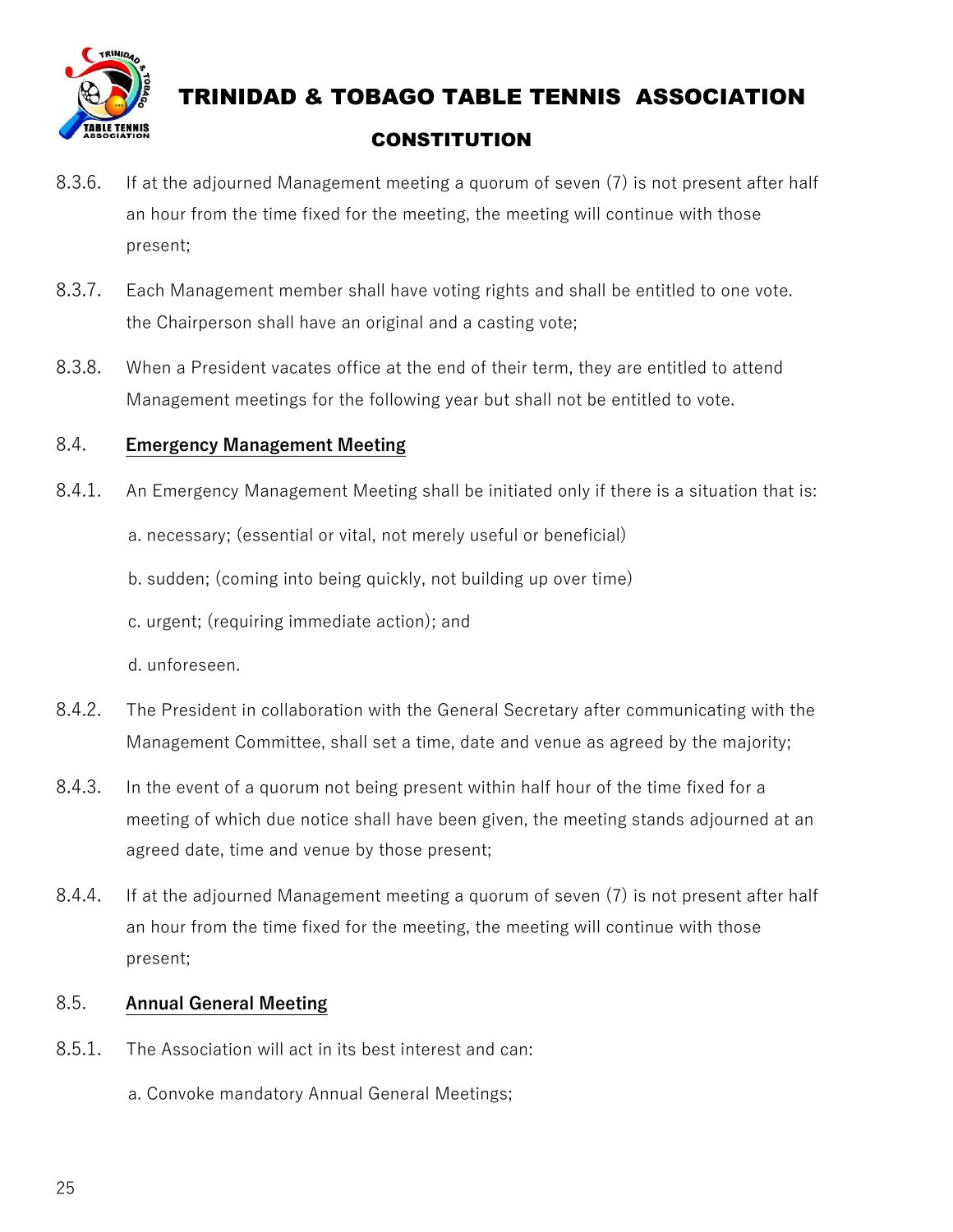

- 8.3.6. If at the adjourned Management meeting a quorum of seven (7) is not present after half an hour from the time fixed for the meeting, the meeting will continue with those present;
- 8.3.7. Each Management member shall have voting rights and shall be entitled to one vote. the Chairperson shall have an original and a casting vote;
- 8.3.8. When a President vacates office at the end of their term, they are entitled to attend Management meetings for the following year but shall not be entitled to vote.

#### 8.4. **Emergency Management Meeting**

- 8.4.1. An Emergency Management Meeting shall be initiated only if there is a situation that is:
	- a. necessary; (essential or vital, not merely useful or beneficial)
	- b. sudden; (coming into being quickly, not building up over time)
	- c. urgent; (requiring immediate action); and

d. unforeseen.

- 8.4.2. The President in collaboration with the General Secretary after communicating with the Management Committee, shall set a time, date and venue as agreed by the majority;
- 8.4.3. In the event of a quorum not being present within half hour of the time fixed for a meeting of which due notice shall have been given, the meeting stands adjourned at an agreed date, time and venue by those present;
- 8.4.4. If at the adjourned Management meeting a quorum of seven (7) is not present after half an hour from the time fixed for the meeting, the meeting will continue with those present;

#### 8.5. **Annual General Meeting**

- 8.5.1. The Association will act in its best interest and can:
	- a. Convoke mandatory Annual General Meetings;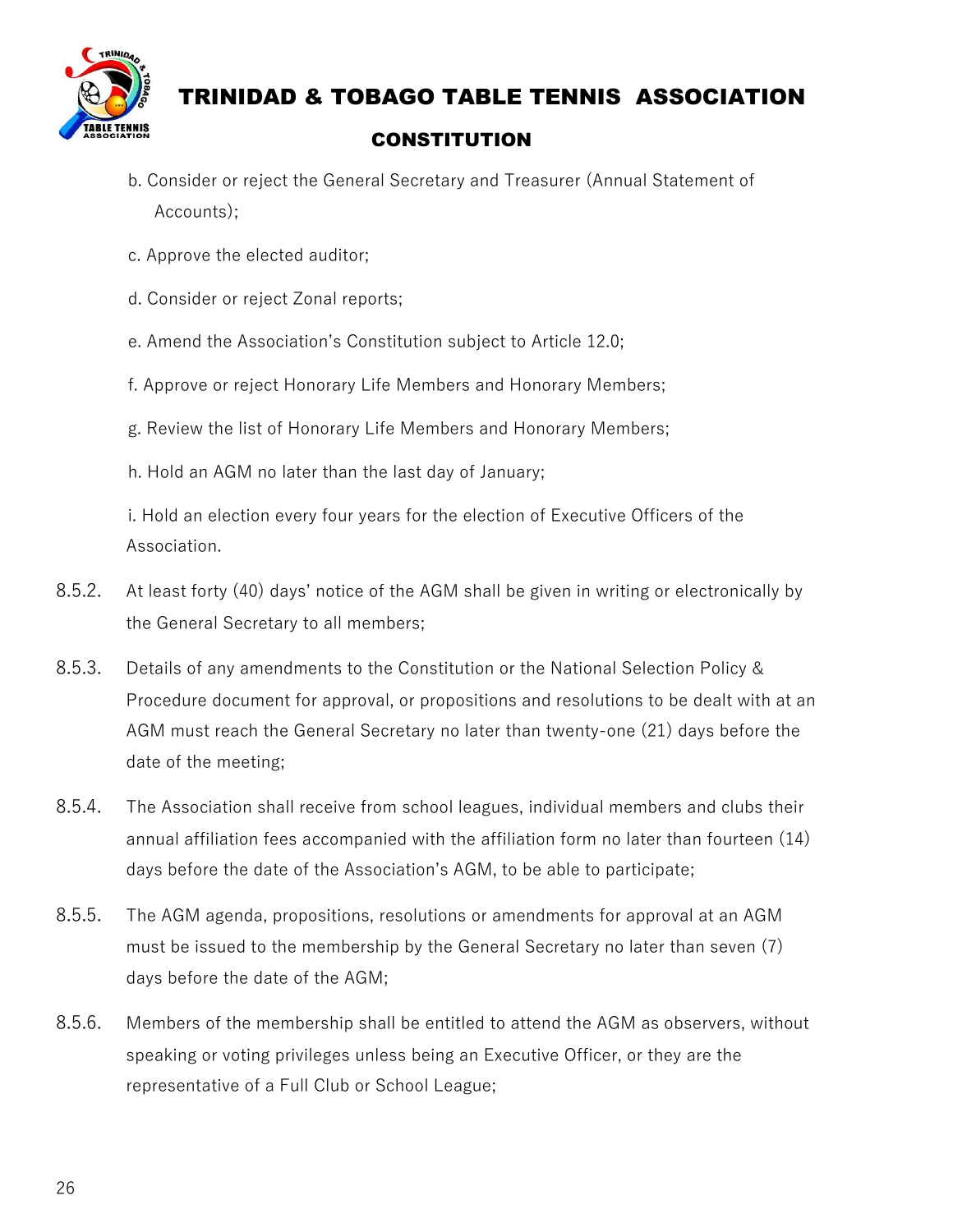

- b. Consider or reject the General Secretary and Treasurer (Annual Statement of Accounts);
- c. Approve the elected auditor;
- d. Consider or reject Zonal reports;
- e. Amend the Association's Constitution subject to Article 12.0;
- f. Approve or reject Honorary Life Members and Honorary Members;
- g. Review the list of Honorary Life Members and Honorary Members;
- h. Hold an AGM no later than the last day of January;

 i. Hold an election every four years for the election of Executive Officers of the Association.

- 8.5.2. At least forty (40) days' notice of the AGM shall be given in writing or electronically by the General Secretary to all members;
- 8.5.3. Details of any amendments to the Constitution or the National Selection Policy & Procedure document for approval, or propositions and resolutions to be dealt with at an AGM must reach the General Secretary no later than twenty-one (21) days before the date of the meeting;
- 8.5.4. The Association shall receive from school leagues, individual members and clubs their annual affiliation fees accompanied with the affiliation form no later than fourteen (14) days before the date of the Association's AGM, to be able to participate;
- 8.5.5. The AGM agenda, propositions, resolutions or amendments for approval at an AGM must be issued to the membership by the General Secretary no later than seven (7) days before the date of the AGM;
- 8.5.6. Members of the membership shall be entitled to attend the AGM as observers, without speaking or voting privileges unless being an Executive Officer, or they are the representative of a Full Club or School League;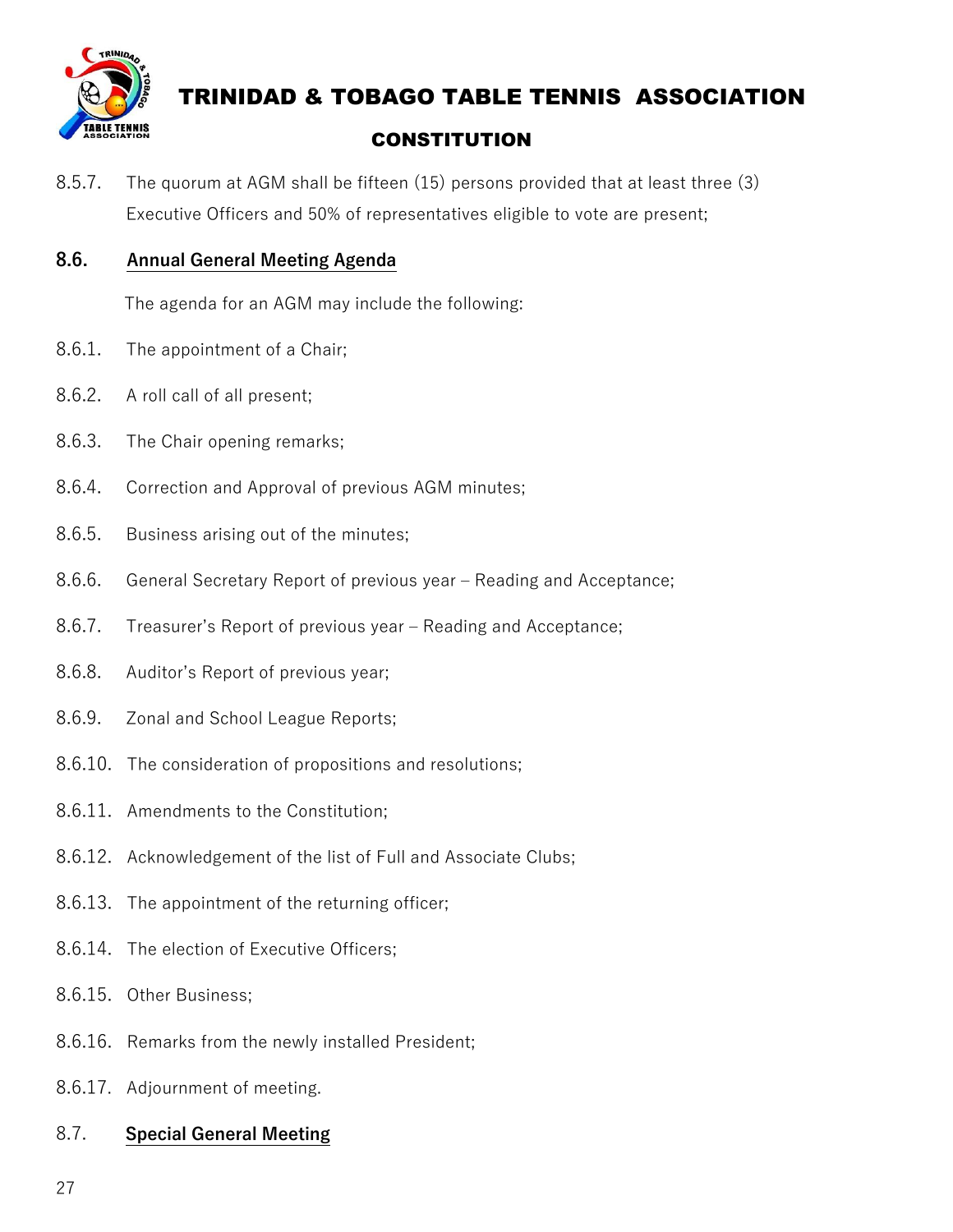

8.5.7. The quorum at AGM shall be fifteen (15) persons provided that at least three (3) Executive Officers and 50% of representatives eligible to vote are present;

#### **8.6. Annual General Meeting Agenda**

The agenda for an AGM may include the following:

- 8.6.1. The appointment of a Chair;
- 8.6.2. A roll call of all present;
- 8.6.3. The Chair opening remarks;
- 8.6.4. Correction and Approval of previous AGM minutes;
- 8.6.5. Business arising out of the minutes;
- 8.6.6. General Secretary Report of previous year Reading and Acceptance;
- 8.6.7. Treasurer's Report of previous year Reading and Acceptance;
- 8.6.8. Auditor's Report of previous year;
- 8.6.9. Zonal and School League Reports;
- 8.6.10. The consideration of propositions and resolutions;
- 8.6.11. Amendments to the Constitution;
- 8.6.12. Acknowledgement of the list of Full and Associate Clubs;
- 8.6.13. The appointment of the returning officer;
- 8.6.14. The election of Executive Officers;
- 8.6.15. Other Business;
- 8.6.16. Remarks from the newly installed President;
- 8.6.17. Adjournment of meeting.

#### 8.7. **Special General Meeting**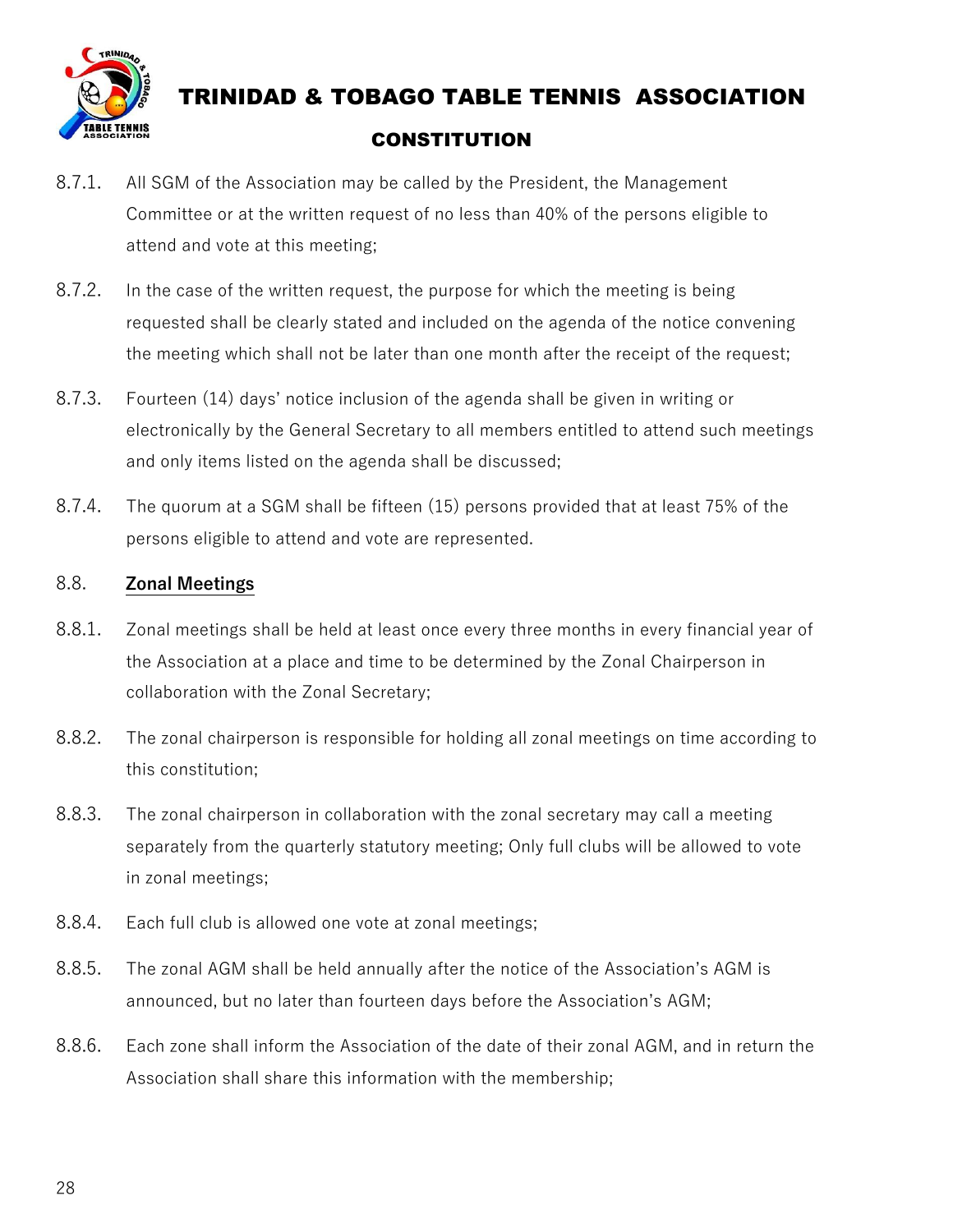

- 8.7.1. All SGM of the Association may be called by the President, the Management Committee or at the written request of no less than 40% of the persons eligible to attend and vote at this meeting;
- 8.7.2. In the case of the written request, the purpose for which the meeting is being requested shall be clearly stated and included on the agenda of the notice convening the meeting which shall not be later than one month after the receipt of the request;
- 8.7.3. Fourteen (14) days' notice inclusion of the agenda shall be given in writing or electronically by the General Secretary to all members entitled to attend such meetings and only items listed on the agenda shall be discussed;
- 8.7.4. The quorum at a SGM shall be fifteen (15) persons provided that at least 75% of the persons eligible to attend and vote are represented.

#### 8.8. **Zonal Meetings**

- 8.8.1. Zonal meetings shall be held at least once every three months in every financial year of the Association at a place and time to be determined by the Zonal Chairperson in collaboration with the Zonal Secretary;
- 8.8.2. The zonal chairperson is responsible for holding all zonal meetings on time according to this constitution;
- 8.8.3. The zonal chairperson in collaboration with the zonal secretary may call a meeting separately from the quarterly statutory meeting; Only full clubs will be allowed to vote in zonal meetings;
- 8.8.4. Each full club is allowed one vote at zonal meetings;
- 8.8.5. The zonal AGM shall be held annually after the notice of the Association's AGM is announced, but no later than fourteen days before the Association's AGM;
- 8.8.6. Each zone shall inform the Association of the date of their zonal AGM, and in return the Association shall share this information with the membership;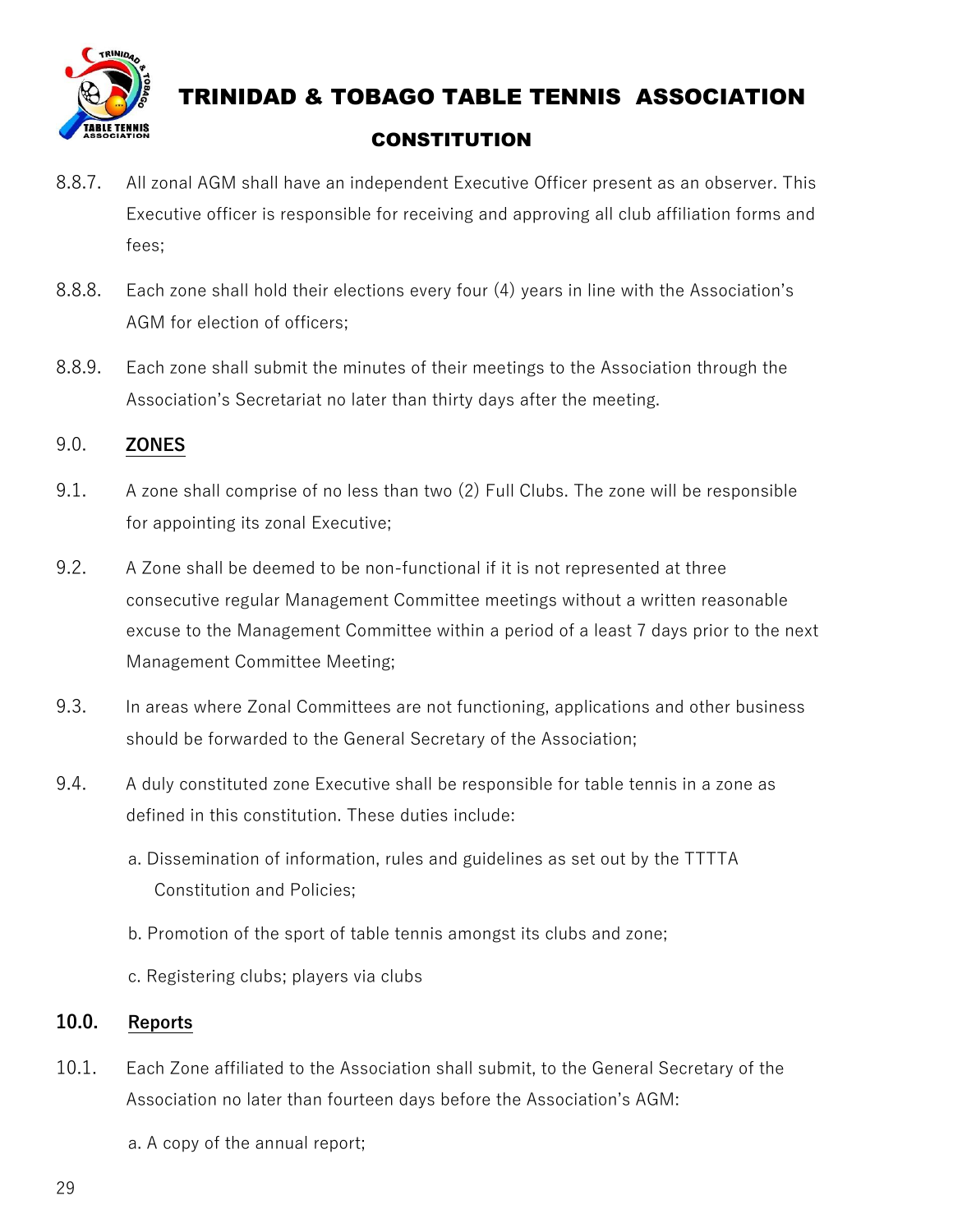

- 8.8.7. All zonal AGM shall have an independent Executive Officer present as an observer. This Executive officer is responsible for receiving and approving all club affiliation forms and fees;
- 8.8.8. Each zone shall hold their elections every four (4) years in line with the Association's AGM for election of officers;
- 8.8.9. Each zone shall submit the minutes of their meetings to the Association through the Association's Secretariat no later than thirty days after the meeting.

#### 9.0. **ZONES**

- 9.1. A zone shall comprise of no less than two (2) Full Clubs. The zone will be responsible for appointing its zonal Executive;
- 9.2. A Zone shall be deemed to be non-functional if it is not represented at three consecutive regular Management Committee meetings without a written reasonable excuse to the Management Committee within a period of a least 7 days prior to the next Management Committee Meeting;
- 9.3. In areas where Zonal Committees are not functioning, applications and other business should be forwarded to the General Secretary of the Association;
- 9.4. A duly constituted zone Executive shall be responsible for table tennis in a zone as defined in this constitution. These duties include:
	- a. Dissemination of information, rules and guidelines as set out by the TTTTA Constitution and Policies;
	- b. Promotion of the sport of table tennis amongst its clubs and zone;
	- c. Registering clubs; players via clubs

#### **10.0. Reports**

10.1. Each Zone affiliated to the Association shall submit, to the General Secretary of the Association no later than fourteen days before the Association's AGM:

a. A copy of the annual report;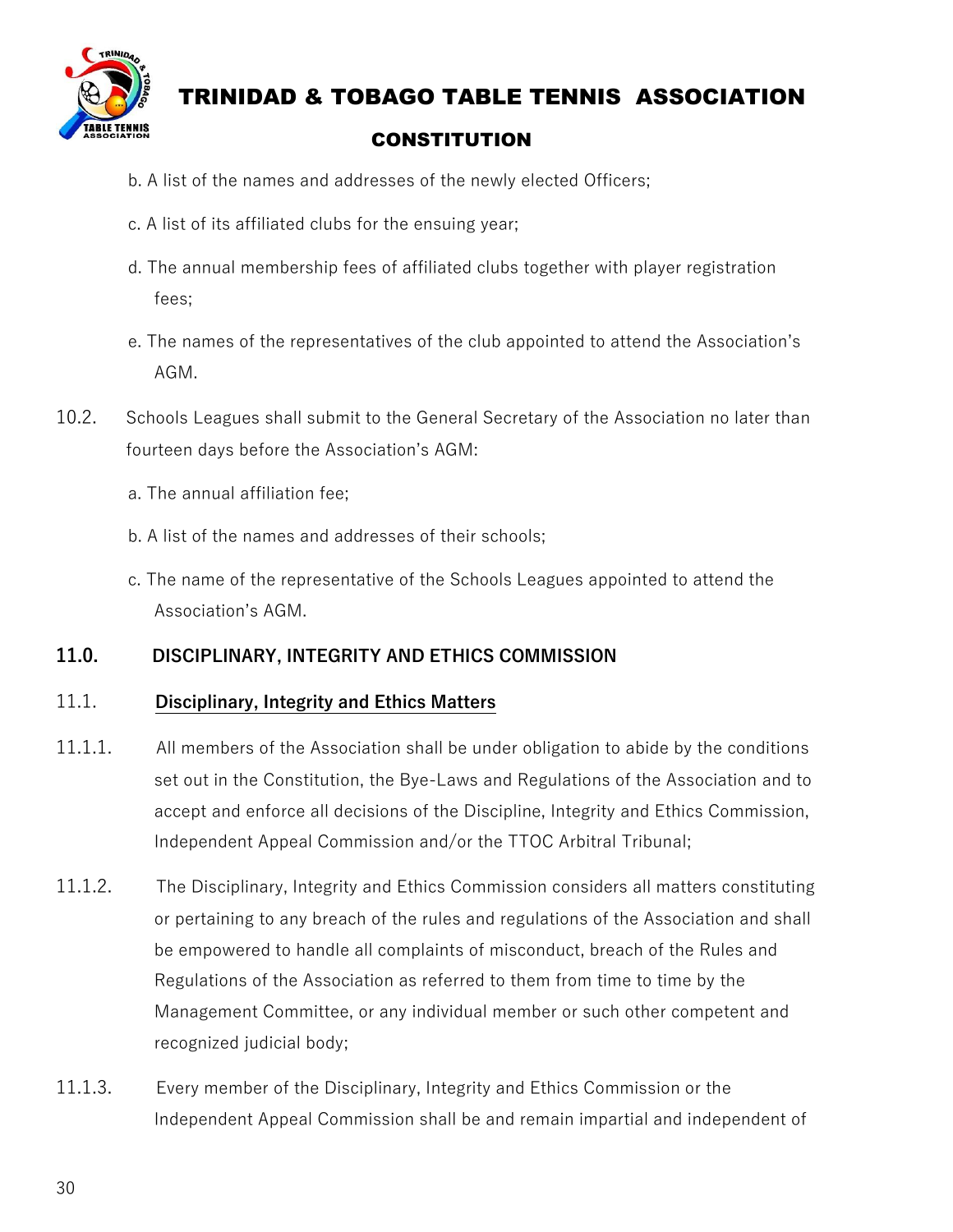

- b. A list of the names and addresses of the newly elected Officers;
- c. A list of its affiliated clubs for the ensuing year;
- d. The annual membership fees of affiliated clubs together with player registration fees;
- e. The names of the representatives of the club appointed to attend the Association's AGM.
- 10.2. Schools Leagues shall submit to the General Secretary of the Association no later than fourteen days before the Association's AGM:
	- a. The annual affiliation fee;
	- b. A list of the names and addresses of their schools;
	- c. The name of the representative of the Schools Leagues appointed to attend the Association's AGM.

#### **11.0. DISCIPLINARY, INTEGRITY AND ETHICS COMMISSION**

#### 11.1. **Disciplinary, Integrity and Ethics Matters**

- 11.1.1. All members of the Association shall be under obligation to abide by the conditions set out in the Constitution, the Bye-Laws and Regulations of the Association and to accept and enforce all decisions of the Discipline, Integrity and Ethics Commission, Independent Appeal Commission and/or the TTOC Arbitral Tribunal;
- 11.1.2. The Disciplinary, Integrity and Ethics Commission considers all matters constituting or pertaining to any breach of the rules and regulations of the Association and shall be empowered to handle all complaints of misconduct, breach of the Rules and Regulations of the Association as referred to them from time to time by the Management Committee, or any individual member or such other competent and recognized judicial body;
- 11.1.3. Every member of the Disciplinary, Integrity and Ethics Commission or the Independent Appeal Commission shall be and remain impartial and independent of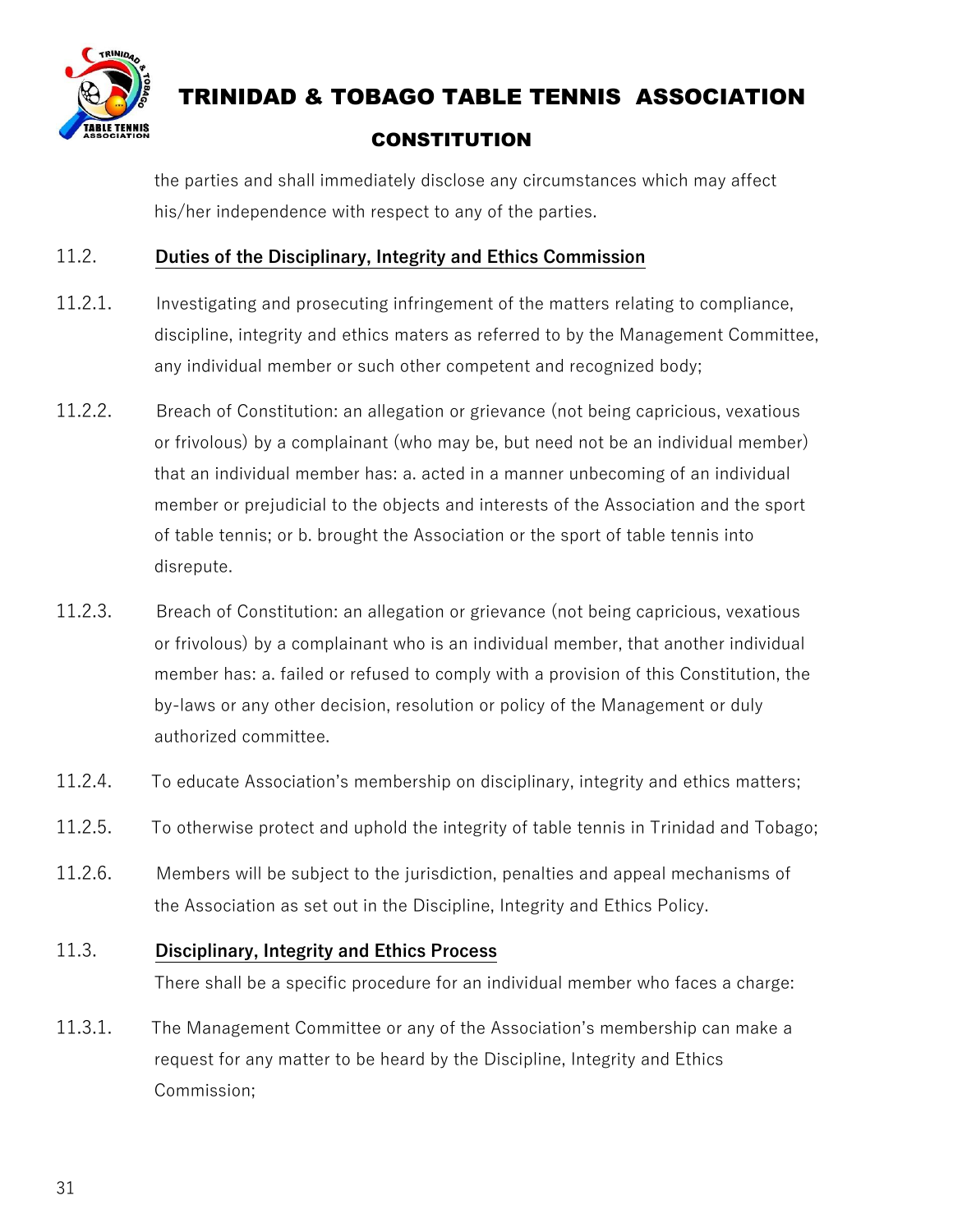

the parties and shall immediately disclose any circumstances which may affect his/her independence with respect to any of the parties.

#### 11.2. **Duties of the Disciplinary, Integrity and Ethics Commission**

- 11.2.1. Investigating and prosecuting infringement of the matters relating to compliance, discipline, integrity and ethics maters as referred to by the Management Committee, any individual member or such other competent and recognized body;
- 11.2.2. Breach of Constitution: an allegation or grievance (not being capricious, vexatious or frivolous) by a complainant (who may be, but need not be an individual member) that an individual member has: a. acted in a manner unbecoming of an individual member or prejudicial to the objects and interests of the Association and the sport of table tennis; or b. brought the Association or the sport of table tennis into disrepute.
- 11.2.3. Breach of Constitution: an allegation or grievance (not being capricious, vexatious or frivolous) by a complainant who is an individual member, that another individual member has: a. failed or refused to comply with a provision of this Constitution, the by-laws or any other decision, resolution or policy of the Management or duly authorized committee.
- 11.2.4. To educate Association's membership on disciplinary, integrity and ethics matters;
- 11.2.5. To otherwise protect and uphold the integrity of table tennis in Trinidad and Tobago;
- 11.2.6. Members will be subject to the jurisdiction, penalties and appeal mechanisms of the Association as set out in the Discipline, Integrity and Ethics Policy.

#### 11.3. **Disciplinary, Integrity and Ethics Process**

There shall be a specific procedure for an individual member who faces a charge:

11.3.1. The Management Committee or any of the Association's membership can make a request for any matter to be heard by the Discipline, Integrity and Ethics Commission;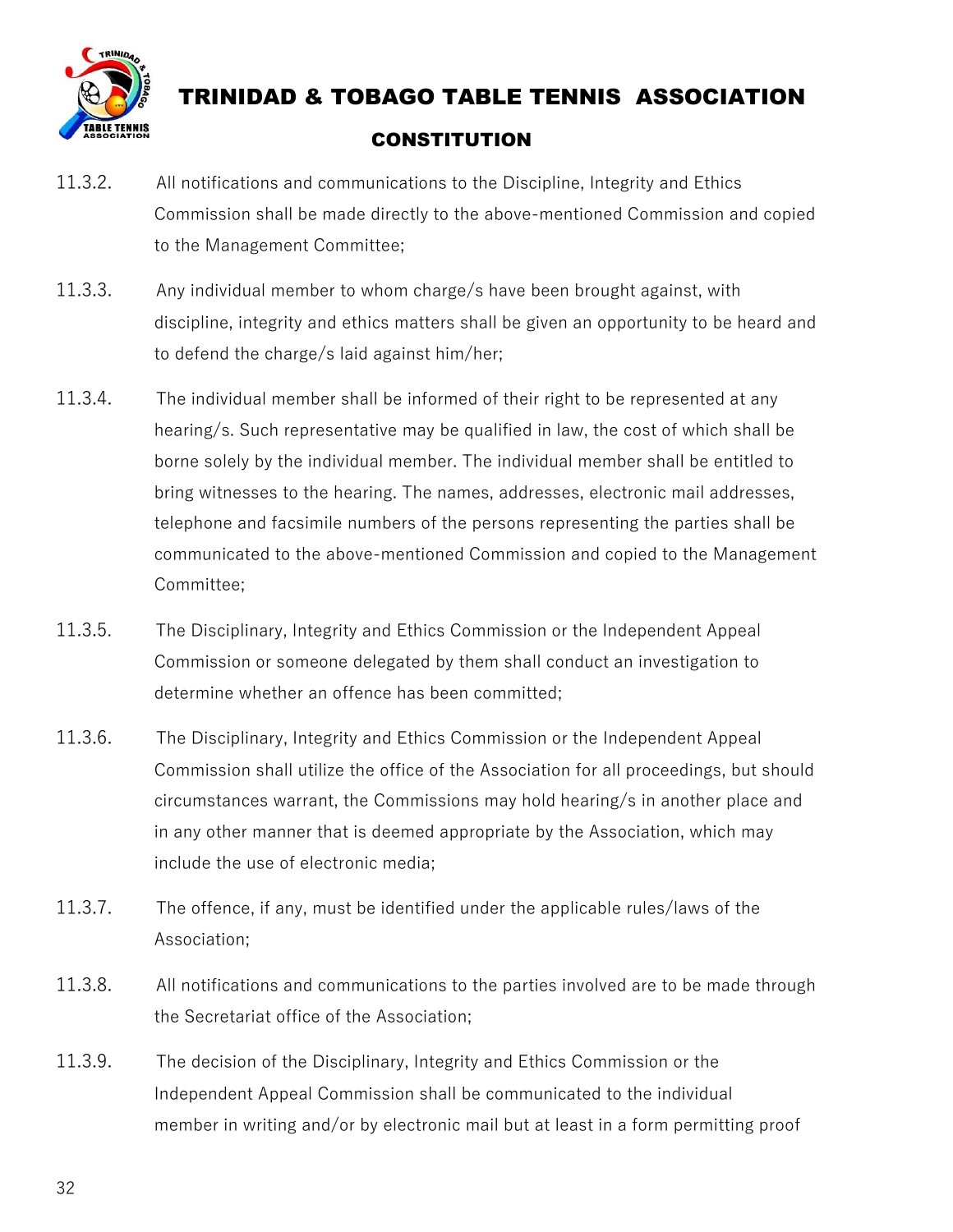

- 11.3.2. All notifications and communications to the Discipline, Integrity and Ethics Commission shall be made directly to the above-mentioned Commission and copied to the Management Committee;
- 11.3.3. Any individual member to whom charge/s have been brought against, with discipline, integrity and ethics matters shall be given an opportunity to be heard and to defend the charge/s laid against him/her;
- 11.3.4. The individual member shall be informed of their right to be represented at any hearing/s. Such representative may be qualified in law, the cost of which shall be borne solely by the individual member. The individual member shall be entitled to bring witnesses to the hearing. The names, addresses, electronic mail addresses, telephone and facsimile numbers of the persons representing the parties shall be communicated to the above-mentioned Commission and copied to the Management Committee;
- 11.3.5. The Disciplinary, Integrity and Ethics Commission or the Independent Appeal Commission or someone delegated by them shall conduct an investigation to determine whether an offence has been committed;
- 11.3.6. The Disciplinary, Integrity and Ethics Commission or the Independent Appeal Commission shall utilize the office of the Association for all proceedings, but should circumstances warrant, the Commissions may hold hearing/s in another place and in any other manner that is deemed appropriate by the Association, which may include the use of electronic media;
- 11.3.7. The offence, if any, must be identified under the applicable rules/laws of the Association;
- 11.3.8. All notifications and communications to the parties involved are to be made through the Secretariat office of the Association;
- 11.3.9. The decision of the Disciplinary, Integrity and Ethics Commission or the Independent Appeal Commission shall be communicated to the individual member in writing and/or by electronic mail but at least in a form permitting proof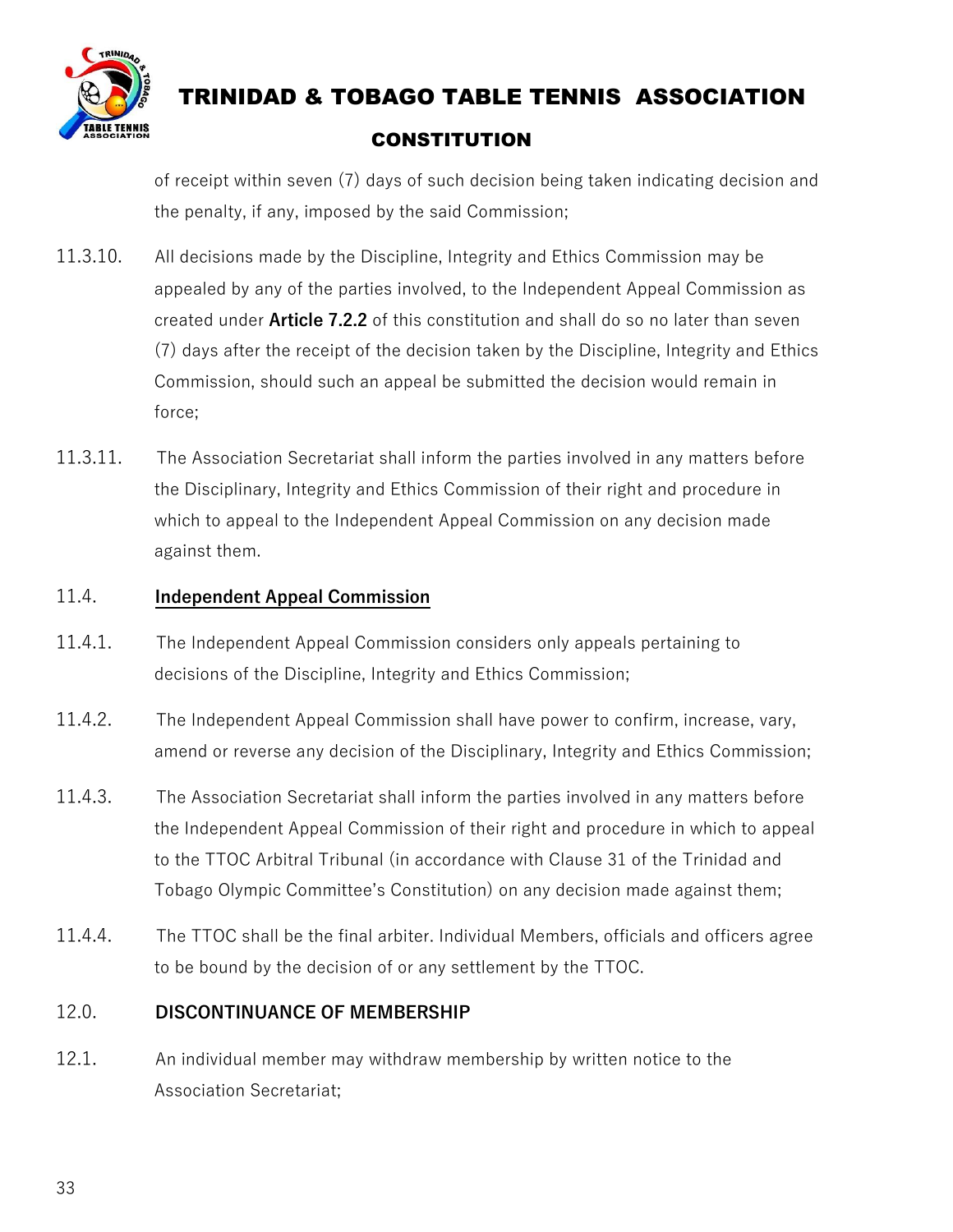

of receipt within seven (7) days of such decision being taken indicating decision and the penalty, if any, imposed by the said Commission;

- 11.3.10. All decisions made by the Discipline, Integrity and Ethics Commission may be appealed by any of the parties involved, to the Independent Appeal Commission as created under **Article 7.2.2** of this constitution and shall do so no later than seven (7) days after the receipt of the decision taken by the Discipline, Integrity and Ethics Commission, should such an appeal be submitted the decision would remain in force;
- 11.3.11. The Association Secretariat shall inform the parties involved in any matters before the Disciplinary, Integrity and Ethics Commission of their right and procedure in which to appeal to the Independent Appeal Commission on any decision made against them.

#### 11.4. **Independent Appeal Commission**

- 11.4.1. The Independent Appeal Commission considers only appeals pertaining to decisions of the Discipline, Integrity and Ethics Commission;
- 11.4.2. The Independent Appeal Commission shall have power to confirm, increase, vary, amend or reverse any decision of the Disciplinary, Integrity and Ethics Commission;
- 11.4.3. The Association Secretariat shall inform the parties involved in any matters before the Independent Appeal Commission of their right and procedure in which to appeal to the TTOC Arbitral Tribunal (in accordance with Clause 31 of the Trinidad and Tobago Olympic Committee's Constitution) on any decision made against them;
- 11.4.4. The TTOC shall be the final arbiter. Individual Members, officials and officers agree to be bound by the decision of or any settlement by the TTOC.

#### 12.0. **DISCONTINUANCE OF MEMBERSHIP**

12.1. An individual member may withdraw membership by written notice to the Association Secretariat;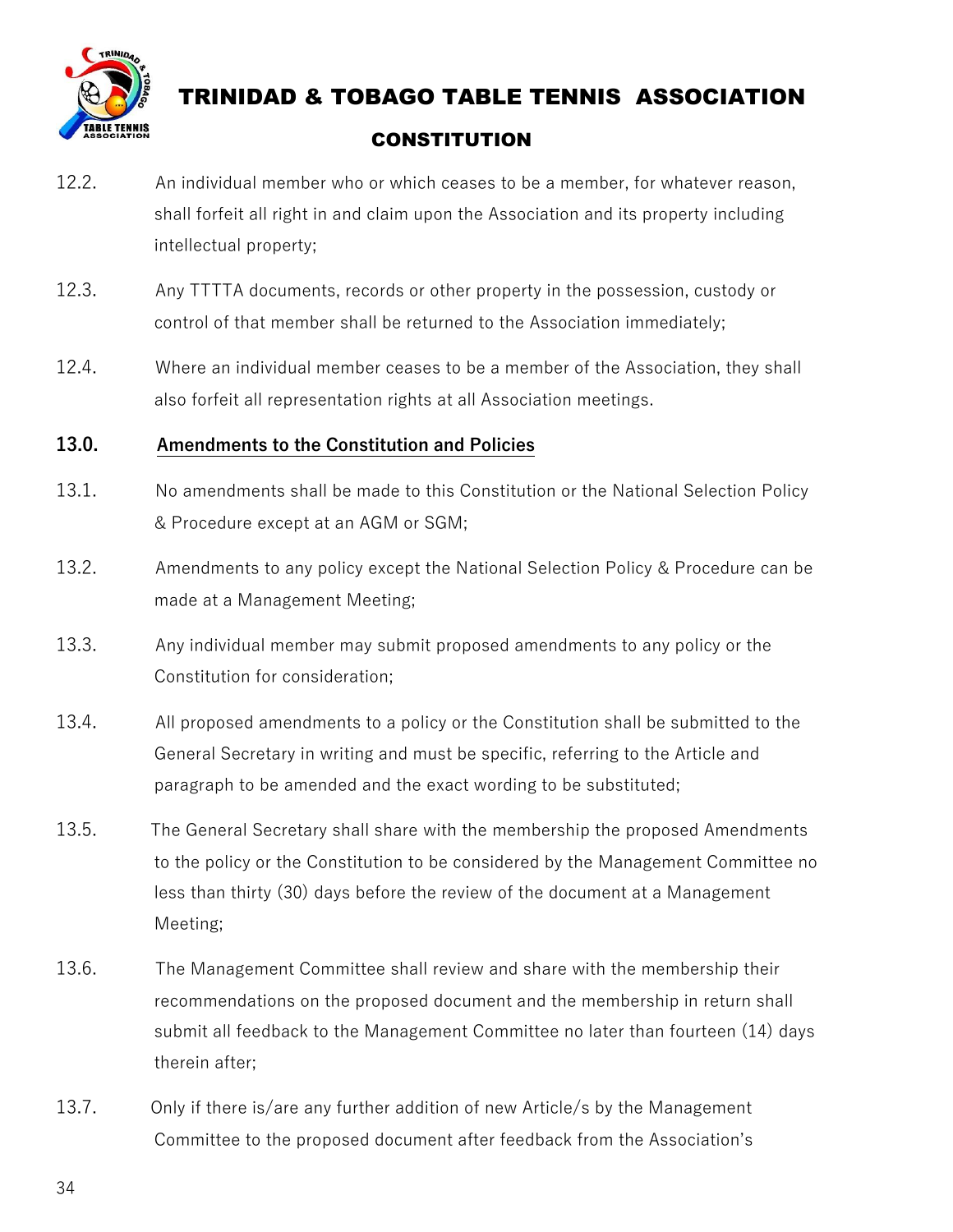

- 12.2. An individual member who or which ceases to be a member, for whatever reason, shall forfeit all right in and claim upon the Association and its property including intellectual property;
- 12.3. Any TTTTA documents, records or other property in the possession, custody or control of that member shall be returned to the Association immediately;
- 12.4. Where an individual member ceases to be a member of the Association, they shall also forfeit all representation rights at all Association meetings.

#### **13.0. Amendments to the Constitution and Policies**

- 13.1. No amendments shall be made to this Constitution or the National Selection Policy & Procedure except at an AGM or SGM;
- 13.2. Amendments to any policy except the National Selection Policy & Procedure can be made at a Management Meeting;
- 13.3. Any individual member may submit proposed amendments to any policy or the Constitution for consideration;
- 13.4. All proposed amendments to a policy or the Constitution shall be submitted to the General Secretary in writing and must be specific, referring to the Article and paragraph to be amended and the exact wording to be substituted;
- 13.5. The General Secretary shall share with the membership the proposed Amendments to the policy or the Constitution to be considered by the Management Committee no less than thirty (30) days before the review of the document at a Management Meeting;
- 13.6. The Management Committee shall review and share with the membership their recommendations on the proposed document and the membership in return shall submit all feedback to the Management Committee no later than fourteen (14) days therein after;
- 13.7. Only if there is/are any further addition of new Article/s by the Management Committee to the proposed document after feedback from the Association's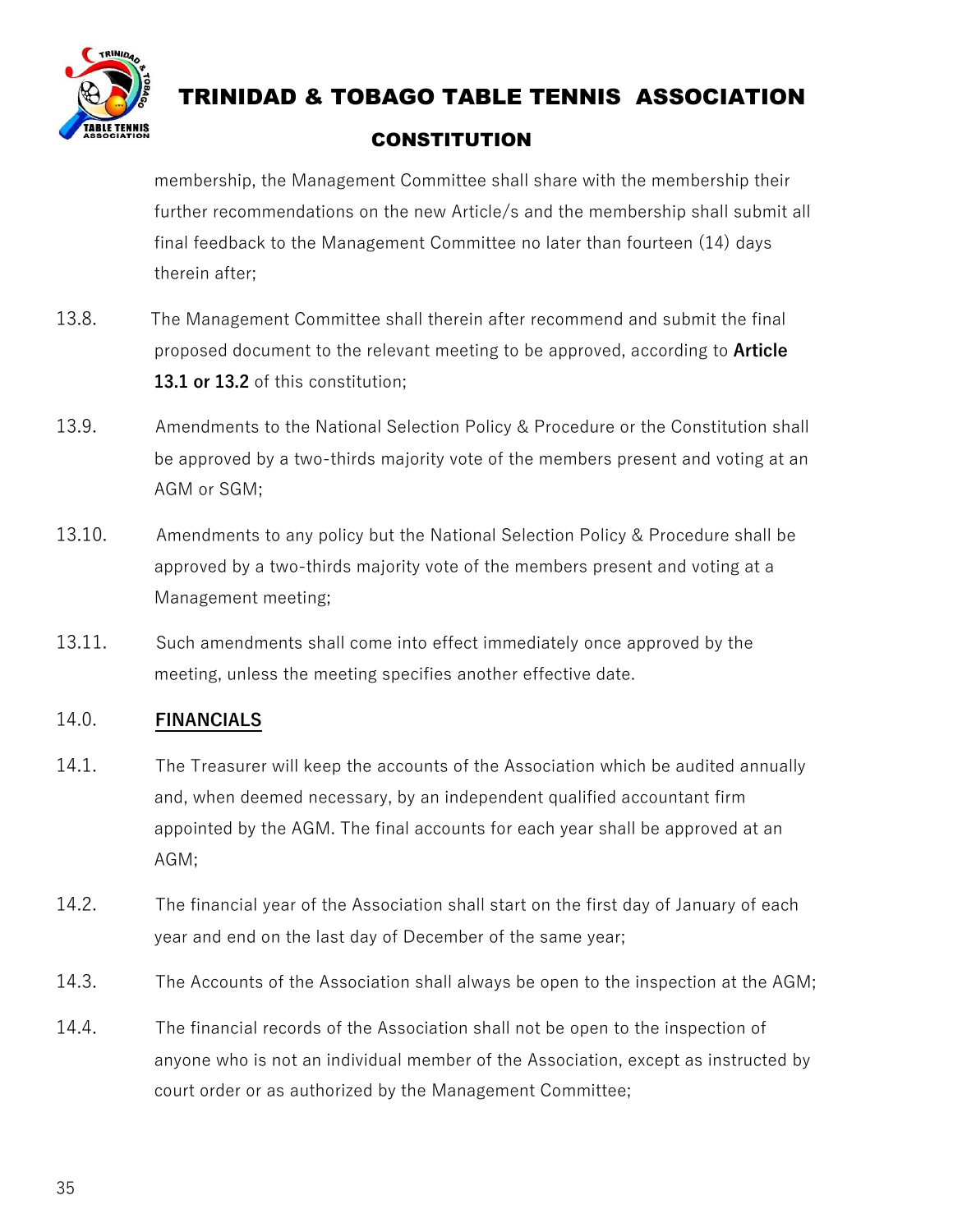

# TRINIDAD & TOBAGO TABLE TENNIS ASSOCIATION

#### **CONSTITUTION**

membership, the Management Committee shall share with the membership their further recommendations on the new Article/s and the membership shall submit all final feedback to the Management Committee no later than fourteen (14) days therein after;

- 13.8. The Management Committee shall therein after recommend and submit the final proposed document to the relevant meeting to be approved, according to **Article 13.1 or 13.2** of this constitution;
- 13.9. Amendments to the National Selection Policy & Procedure or the Constitution shall be approved by a two-thirds majority vote of the members present and voting at an AGM or SGM;
- 13.10. Amendments to any policy but the National Selection Policy & Procedure shall be approved by a two-thirds majority vote of the members present and voting at a Management meeting;
- 13.11. Such amendments shall come into effect immediately once approved by the meeting, unless the meeting specifies another effective date.

#### 14.0. **FINANCIALS**

- 14.1. The Treasurer will keep the accounts of the Association which be audited annually and, when deemed necessary, by an independent qualified accountant firm appointed by the AGM. The final accounts for each year shall be approved at an AGM;
- 14.2. The financial year of the Association shall start on the first day of January of each year and end on the last day of December of the same year;
- 14.3. The Accounts of the Association shall always be open to the inspection at the AGM;
- 14.4. The financial records of the Association shall not be open to the inspection of anyone who is not an individual member of the Association, except as instructed by court order or as authorized by the Management Committee;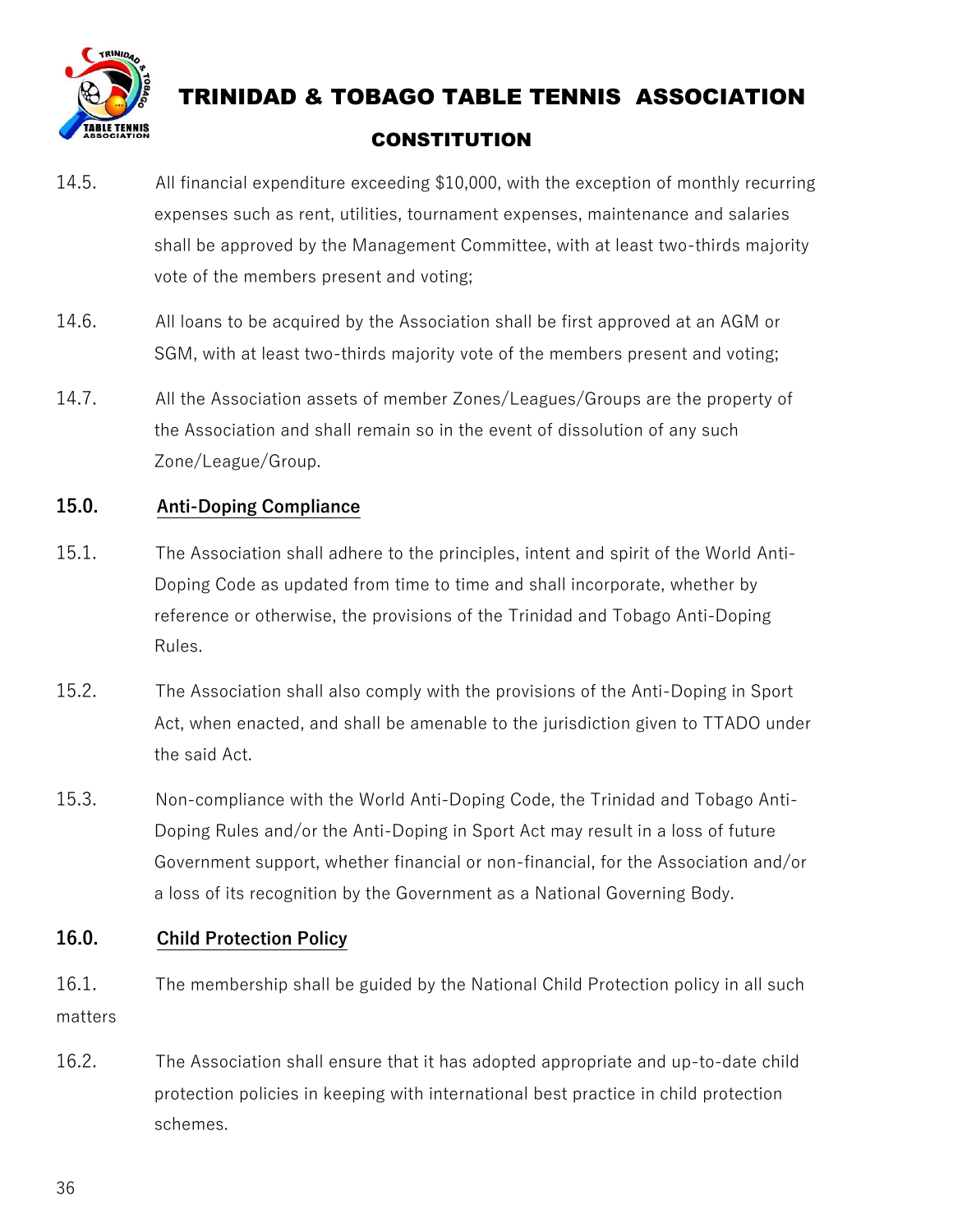

- 14.5. All financial expenditure exceeding \$10,000, with the exception of monthly recurring expenses such as rent, utilities, tournament expenses, maintenance and salaries shall be approved by the Management Committee, with at least two-thirds majority vote of the members present and voting;
- 14.6. All loans to be acquired by the Association shall be first approved at an AGM or SGM, with at least two-thirds majority vote of the members present and voting;
- 14.7. All the Association assets of member Zones/Leagues/Groups are the property of the Association and shall remain so in the event of dissolution of any such Zone/League/Group.

#### **15.0. Anti-Doping Compliance**

- 15.1. The Association shall adhere to the principles, intent and spirit of the World Anti-Doping Code as updated from time to time and shall incorporate, whether by reference or otherwise, the provisions of the Trinidad and Tobago Anti-Doping Rules.
- 15.2. The Association shall also comply with the provisions of the Anti-Doping in Sport Act, when enacted, and shall be amenable to the jurisdiction given to TTADO under the said Act.
- 15.3. Non-compliance with the World Anti-Doping Code, the Trinidad and Tobago Anti-Doping Rules and/or the Anti-Doping in Sport Act may result in a loss of future Government support, whether financial or non-financial, for the Association and/or a loss of its recognition by the Government as a National Governing Body.

#### **16.0. Child Protection Policy**

- 16.1. The membership shall be guided by the National Child Protection policy in all such matters
- 16.2. The Association shall ensure that it has adopted appropriate and up-to-date child protection policies in keeping with international best practice in child protection schemes.